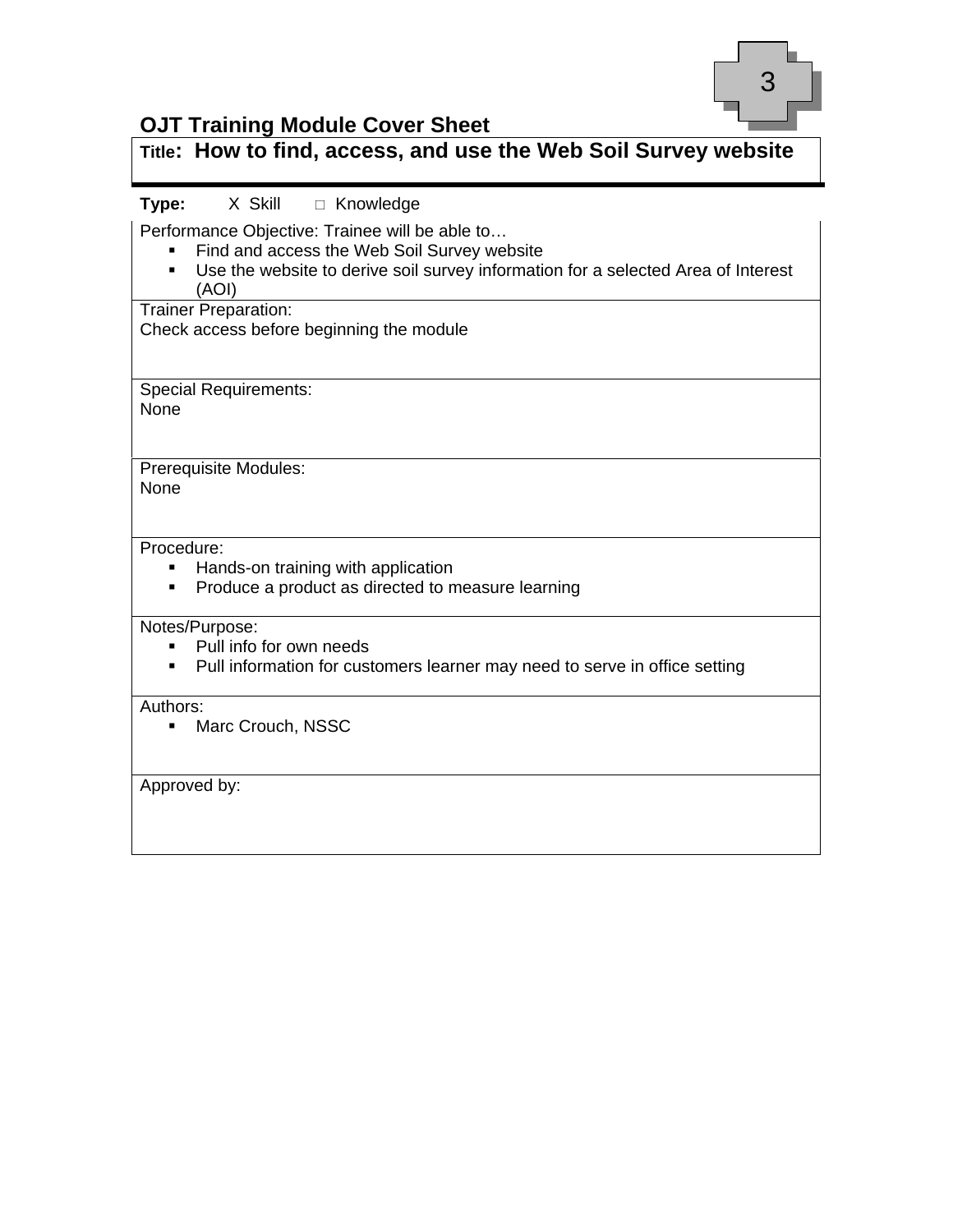

#### **OJT Training Module Cover Sheet**

#### **Title: How to find, access, and use the Web Soil Survey website**

#### Type: X Skill  $\Box$  Knowledge

Performance Objective: Trainee will be able to…

- Find and access the Web Soil Survey website
- Use the website to derive soil survey information for a selected Area of Interest (AOI)

Trainer Preparation:

Check access before beginning the module

Special Requirements: None

Prerequisite Modules: None

#### Procedure:

- **Hands-on training with application**
- **Produce a product as directed to measure learning**

Notes/Purpose:

- Pull info for own needs
- Pull information for customers learner may need to serve in office setting

Authors:

**Marc Crouch, NSSC** 

Approved by: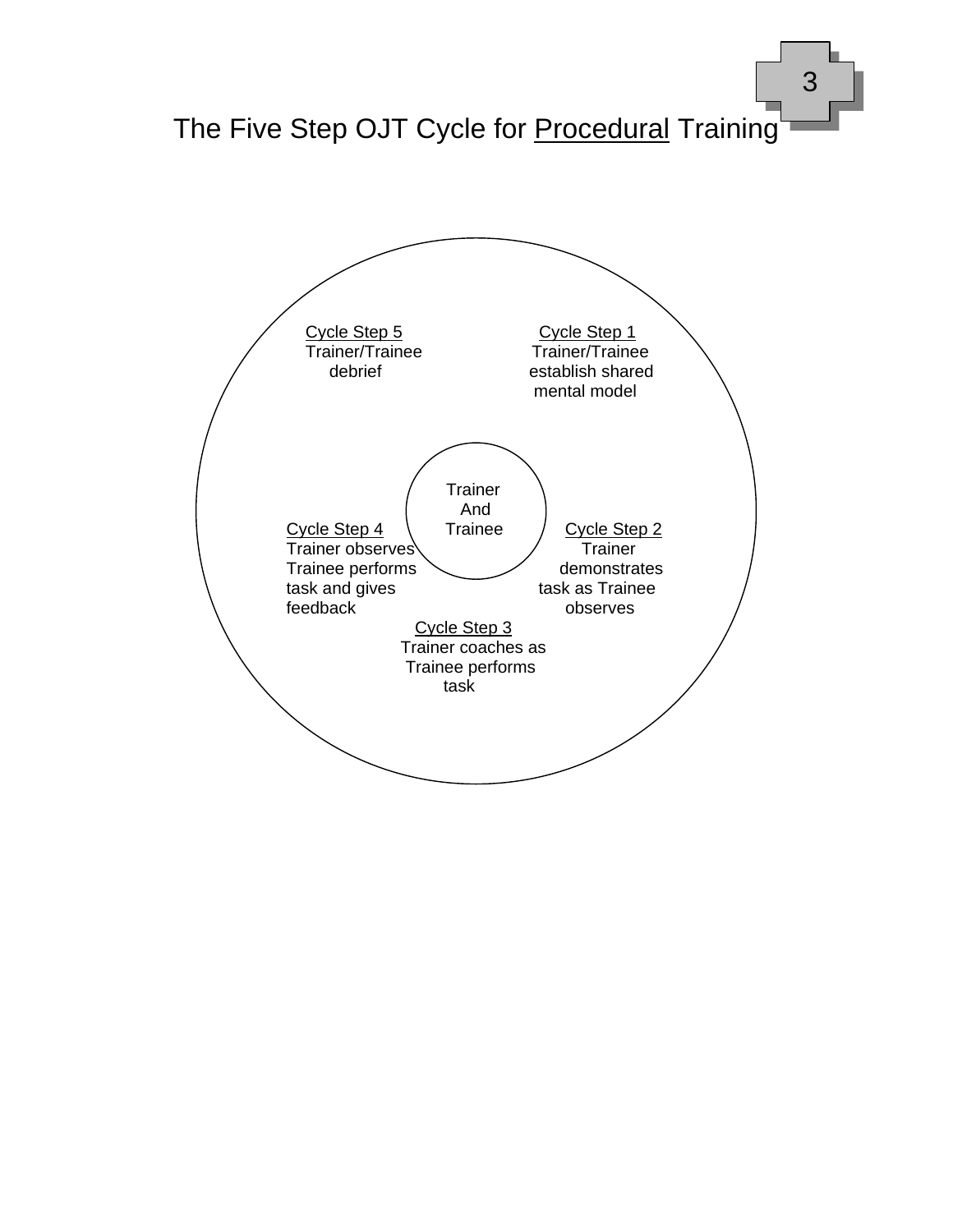

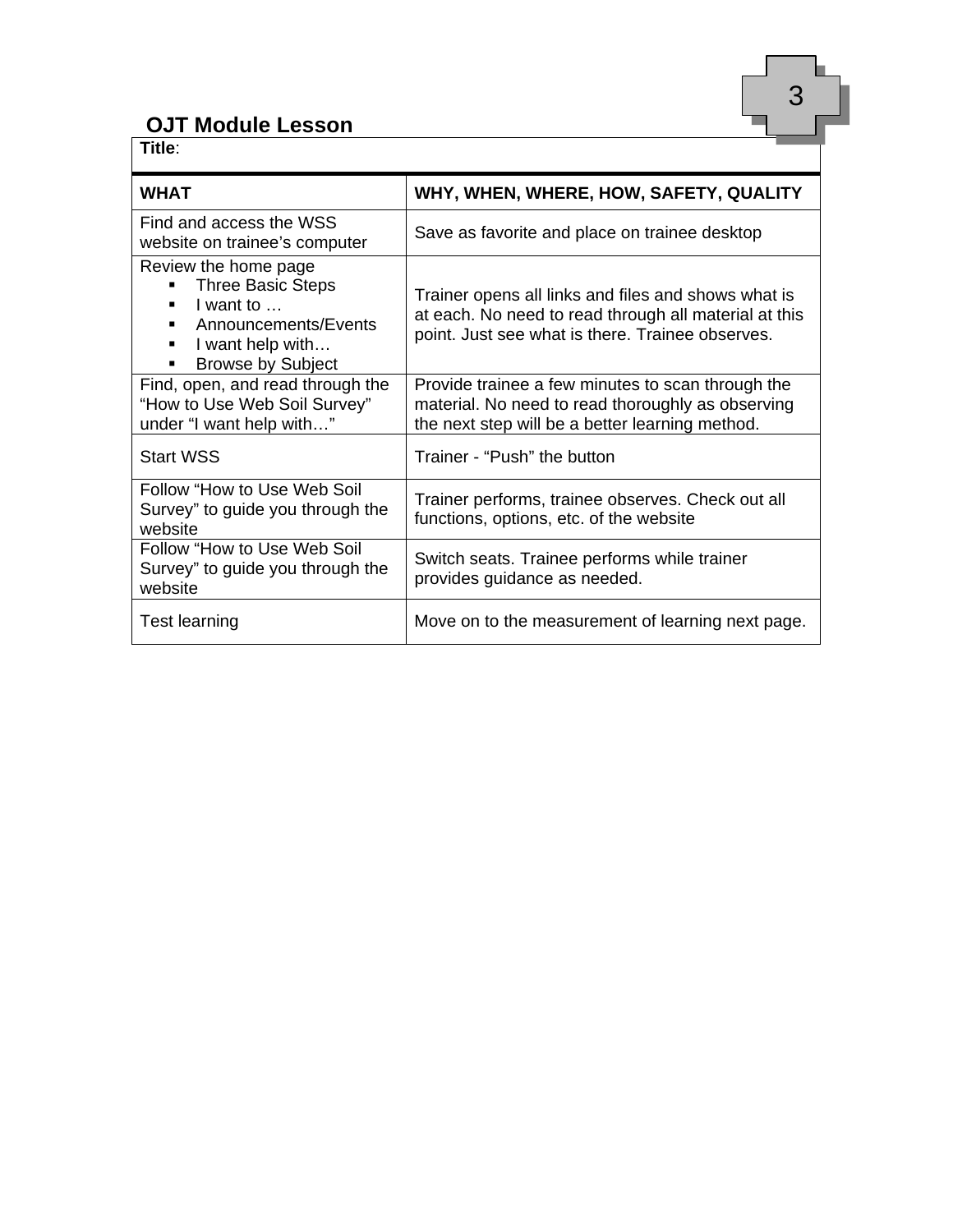#### **OJT Module Lesson**

| Title:                                                                                                                                                                     |                                                                                                                                                                  |
|----------------------------------------------------------------------------------------------------------------------------------------------------------------------------|------------------------------------------------------------------------------------------------------------------------------------------------------------------|
| <b>WHAT</b>                                                                                                                                                                | WHY, WHEN, WHERE, HOW, SAFETY, QUALITY                                                                                                                           |
| Find and access the WSS<br>website on trainee's computer                                                                                                                   | Save as favorite and place on trainee desktop                                                                                                                    |
| Review the home page<br><b>Three Basic Steps</b><br>I want to $\ldots$<br>Announcements/Events<br>٠<br>I want help with<br>$\blacksquare$<br><b>Browse by Subject</b><br>٠ | Trainer opens all links and files and shows what is<br>at each. No need to read through all material at this<br>point. Just see what is there. Trainee observes. |
| Find, open, and read through the<br>"How to Use Web Soil Survey"<br>under "I want help with"                                                                               | Provide trainee a few minutes to scan through the<br>material. No need to read thoroughly as observing<br>the next step will be a better learning method.        |
| <b>Start WSS</b>                                                                                                                                                           | Trainer - "Push" the button                                                                                                                                      |
| Follow "How to Use Web Soil<br>Survey" to guide you through the<br>website                                                                                                 | Trainer performs, trainee observes. Check out all<br>functions, options, etc. of the website                                                                     |
| Follow "How to Use Web Soil<br>Survey" to guide you through the<br>website                                                                                                 | Switch seats. Trainee performs while trainer<br>provides guidance as needed.                                                                                     |
| <b>Test learning</b>                                                                                                                                                       | Move on to the measurement of learning next page.                                                                                                                |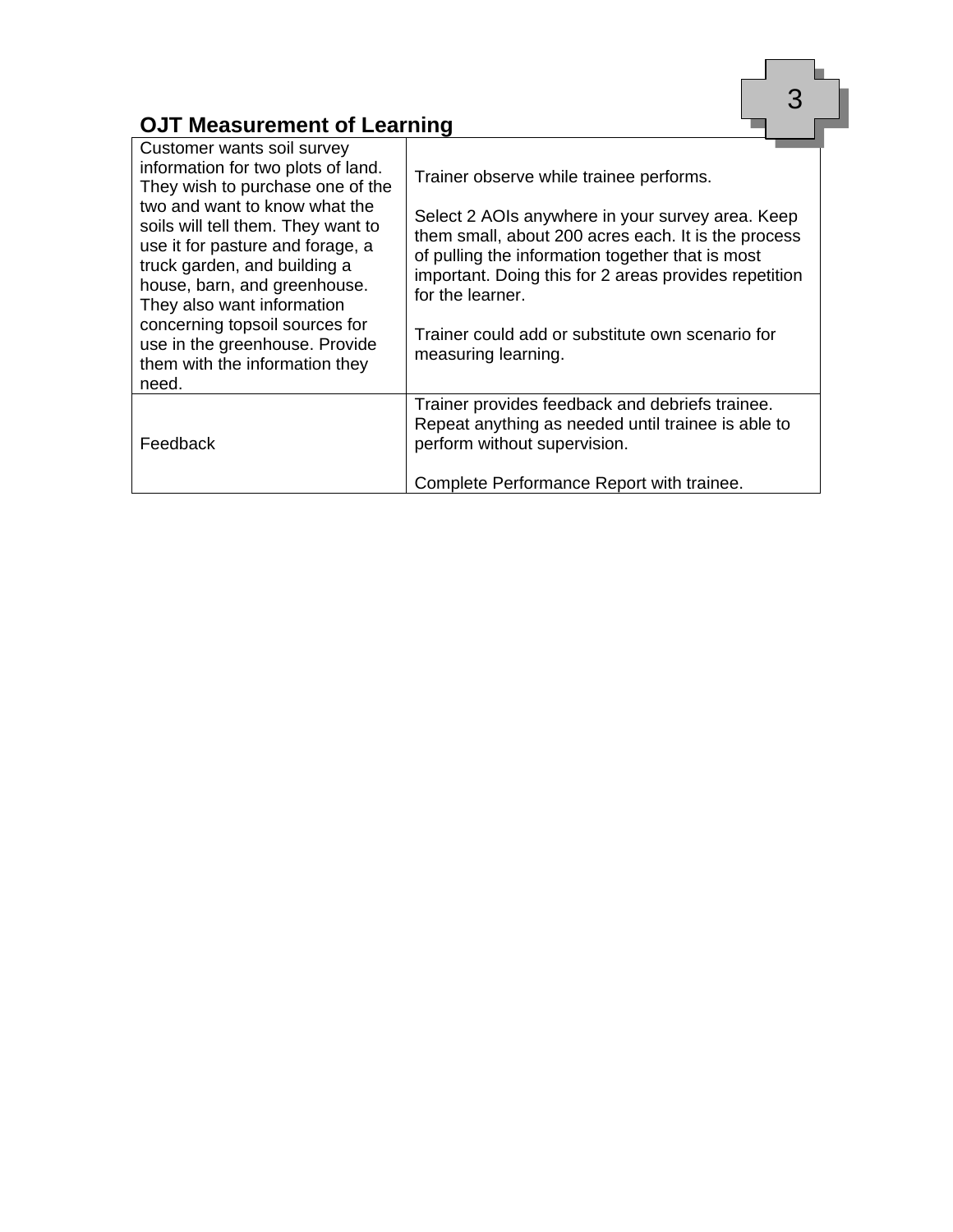### **OJT Measurement of Learning**

| <b>OJT Measurement of Learning</b>                                                                                                                                   |                                                                                                                                                                                      |
|----------------------------------------------------------------------------------------------------------------------------------------------------------------------|--------------------------------------------------------------------------------------------------------------------------------------------------------------------------------------|
| Customer wants soil survey<br>information for two plots of land.<br>They wish to purchase one of the<br>two and want to know what the                                | Trainer observe while trainee performs.<br>Select 2 AOIs anywhere in your survey area. Keep                                                                                          |
| soils will tell them. They want to<br>use it for pasture and forage, a<br>truck garden, and building a<br>house, barn, and greenhouse.<br>They also want information | them small, about 200 acres each. It is the process<br>of pulling the information together that is most<br>important. Doing this for 2 areas provides repetition<br>for the learner. |
| concerning topsoil sources for<br>use in the greenhouse. Provide<br>them with the information they<br>need.                                                          | Trainer could add or substitute own scenario for<br>measuring learning.                                                                                                              |
| Feedback                                                                                                                                                             | Trainer provides feedback and debriefs trainee.<br>Repeat anything as needed until trainee is able to<br>perform without supervision.                                                |
|                                                                                                                                                                      | Complete Performance Report with trainee.                                                                                                                                            |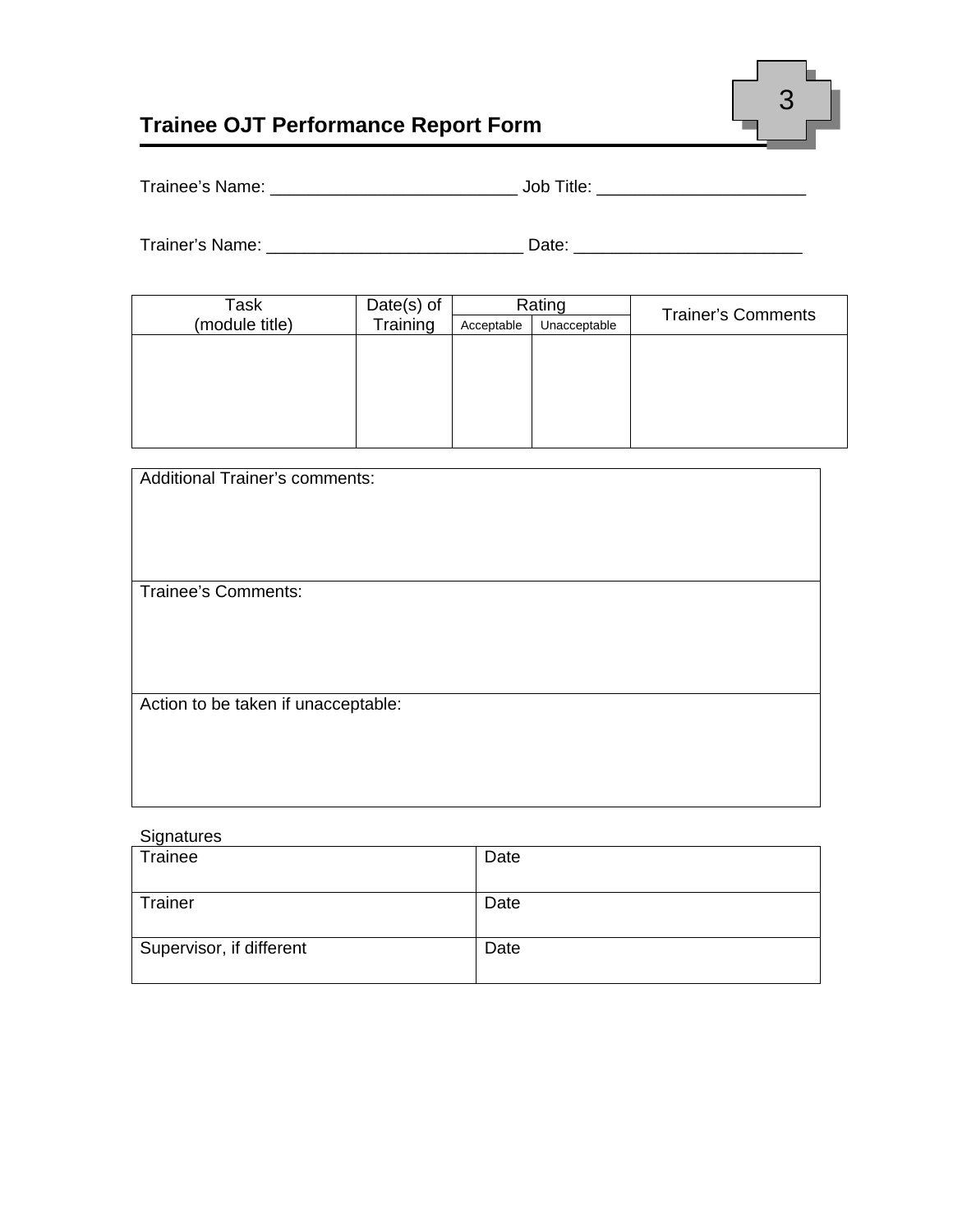

### **Trainee OJT Performance Report Form**

|  | Trainee's Name: | JOD<br>∵ıtle |
|--|-----------------|--------------|
|--|-----------------|--------------|

| Trainer's Name: | )ate |  |
|-----------------|------|--|
|                 |      |  |

| Task           | Date $(s)$ of |            | Rating       | <b>Trainer's Comments</b> |
|----------------|---------------|------------|--------------|---------------------------|
| (module title) | Training      | Acceptable | Unacceptable |                           |
|                |               |            |              |                           |
|                |               |            |              |                           |
|                |               |            |              |                           |
|                |               |            |              |                           |
|                |               |            |              |                           |
|                |               |            |              |                           |

| <b>Additional Trainer's comments:</b> |
|---------------------------------------|
|                                       |
|                                       |
|                                       |
| <b>Trainee's Comments:</b>            |
|                                       |
|                                       |
|                                       |
| Action to be taken if unacceptable:   |
|                                       |
|                                       |
|                                       |
|                                       |

#### **Signatures**

| Trainee                  | Date |
|--------------------------|------|
| Trainer                  | Date |
| Supervisor, if different | Date |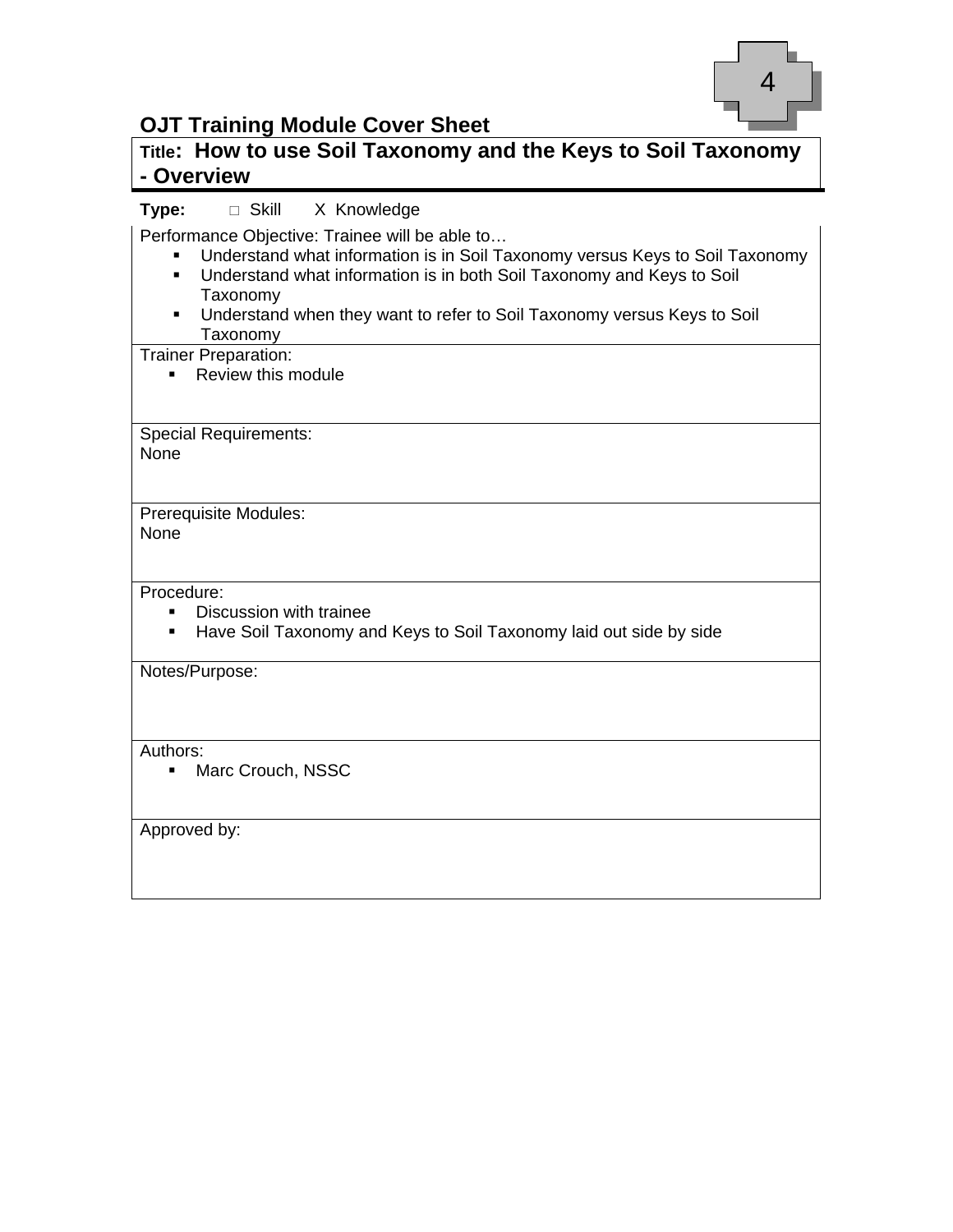

#### **OJT Training Module Cover Sheet**

#### **Title: How to use Soil Taxonomy and the Keys to Soil Taxonomy - Overview**

#### **Type:** □ Skill X Knowledge

Performance Objective: Trainee will be able to…

- Understand what information is in Soil Taxonomy versus Keys to Soil Taxonomy
- Understand what information is in both Soil Taxonomy and Keys to Soil Taxonomy
- Understand when they want to refer to Soil Taxonomy versus Keys to Soil Taxonomy

#### Trainer Preparation:

• Review this module

Special Requirements: **None** 

Prerequisite Modules: None

#### Procedure:

- **Discussion with trainee**
- **Have Soil Taxonomy and Keys to Soil Taxonomy laid out side by side**

Notes/Purpose:

Authors:

**Marc Crouch, NSSC** 

Approved by: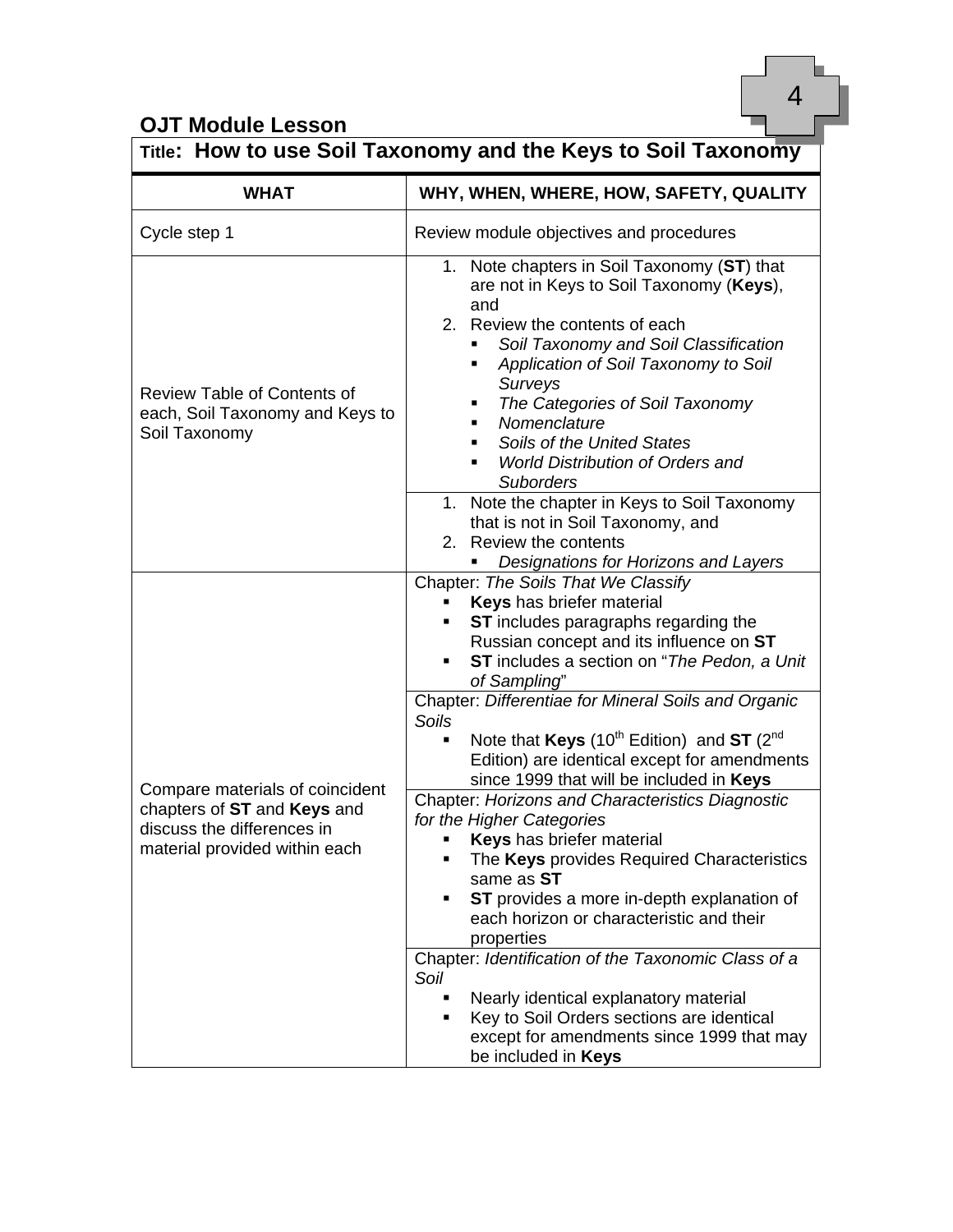## **OJT Module Lesson**

|                                                                                                                               | Title: How to use Soil Taxonomy and the Keys to Soil Taxonomy                                                                                                                                                                                                                                                                                                                                                                                                                                                                                                                                                                                                                                                                                                                                                                                                                                                                                                                                                  |
|-------------------------------------------------------------------------------------------------------------------------------|----------------------------------------------------------------------------------------------------------------------------------------------------------------------------------------------------------------------------------------------------------------------------------------------------------------------------------------------------------------------------------------------------------------------------------------------------------------------------------------------------------------------------------------------------------------------------------------------------------------------------------------------------------------------------------------------------------------------------------------------------------------------------------------------------------------------------------------------------------------------------------------------------------------------------------------------------------------------------------------------------------------|
| <b>WHAT</b>                                                                                                                   | WHY, WHEN, WHERE, HOW, SAFETY, QUALITY                                                                                                                                                                                                                                                                                                                                                                                                                                                                                                                                                                                                                                                                                                                                                                                                                                                                                                                                                                         |
| Cycle step 1                                                                                                                  | Review module objectives and procedures                                                                                                                                                                                                                                                                                                                                                                                                                                                                                                                                                                                                                                                                                                                                                                                                                                                                                                                                                                        |
| <b>Review Table of Contents of</b><br>each, Soil Taxonomy and Keys to<br>Soil Taxonomy                                        | 1. Note chapters in Soil Taxonomy (ST) that<br>are not in Keys to Soil Taxonomy (Keys),<br>and<br>2. Review the contents of each<br>Soil Taxonomy and Soil Classification<br>٠<br>Application of Soil Taxonomy to Soil<br>٠<br><b>Surveys</b><br>The Categories of Soil Taxonomy<br>п<br>Nomenclature<br>٠<br>Soils of the United States<br>٠<br><b>World Distribution of Orders and</b><br>٠<br><b>Suborders</b><br>1. Note the chapter in Keys to Soil Taxonomy<br>that is not in Soil Taxonomy, and<br>2. Review the contents<br>Designations for Horizons and Layers                                                                                                                                                                                                                                                                                                                                                                                                                                       |
| Compare materials of coincident<br>chapters of ST and Keys and<br>discuss the differences in<br>material provided within each | Chapter: The Soils That We Classify<br>Keys has briefer material<br>ST includes paragraphs regarding the<br>Russian concept and its influence on ST<br>ST includes a section on "The Pedon, a Unit<br>of Sampling"<br>Chapter: Differentiae for Mineral Soils and Organic<br><b>Soils</b><br>Note that Keys (10 <sup>th</sup> Edition) and ST ( $2^{nd}$<br>Edition) are identical except for amendments<br>since 1999 that will be included in Keys<br>Chapter: Horizons and Characteristics Diagnostic<br>for the Higher Categories<br><b>Keys</b> has briefer material<br>The Keys provides Required Characteristics<br>٠<br>same as ST<br>ST provides a more in-depth explanation of<br>٠<br>each horizon or characteristic and their<br>properties<br>Chapter: Identification of the Taxonomic Class of a<br>Soil<br>Nearly identical explanatory material<br>$\blacksquare$<br>Key to Soil Orders sections are identical<br>٠<br>except for amendments since 1999 that may<br>be included in <b>Keys</b> |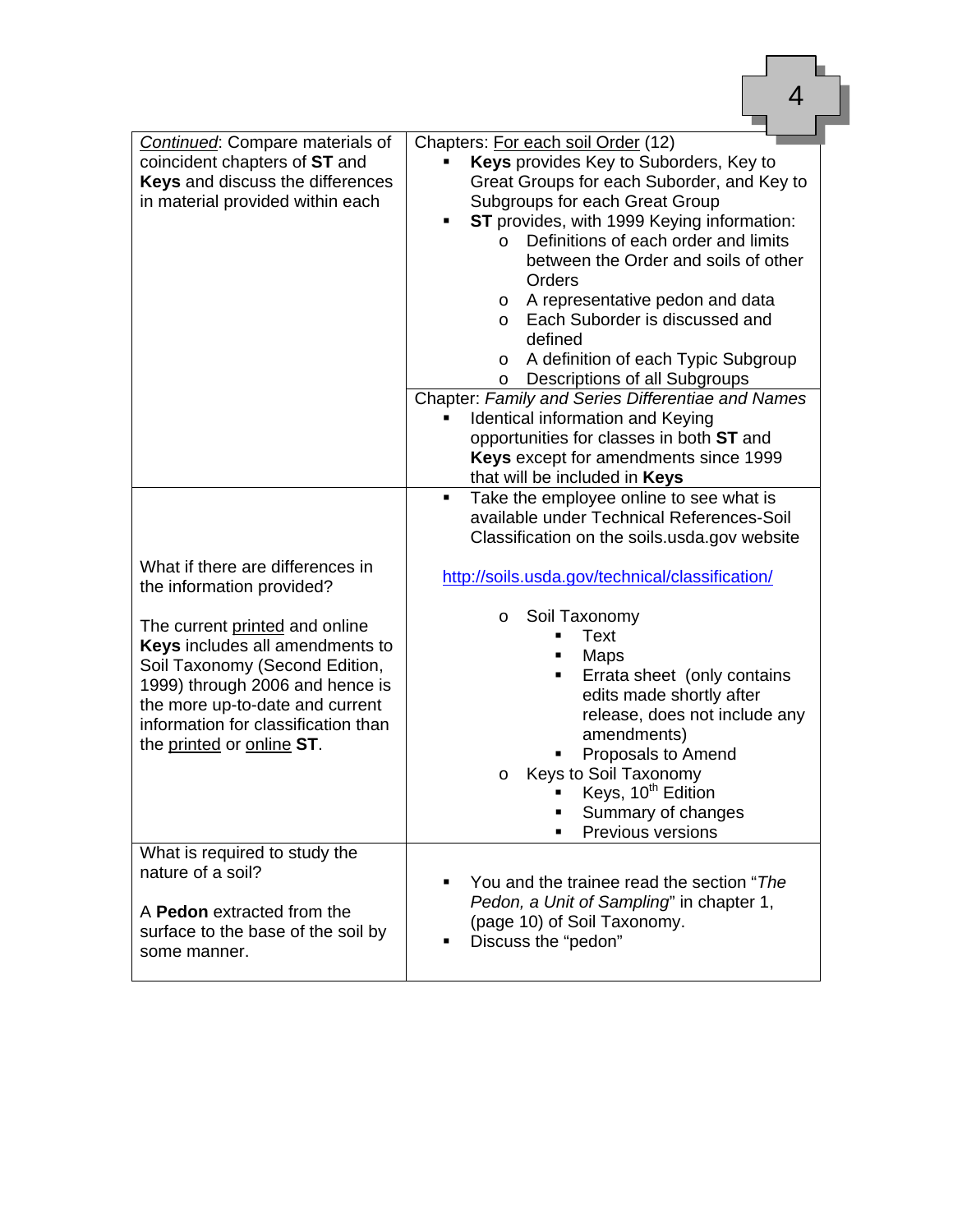| <b>Continued:</b> Compare materials of<br>coincident chapters of ST and<br>Keys and discuss the differences<br>in material provided within each                                                                                               | Chapters: For each soil Order (12)<br>Keys provides Key to Suborders, Key to<br>Great Groups for each Suborder, and Key to<br>Subgroups for each Great Group<br>ST provides, with 1999 Keying information:<br>$\blacksquare$<br>Definitions of each order and limits<br>$\Omega$<br>between the Order and soils of other<br>Orders<br>A representative pedon and data<br>$\circ$<br>Each Suborder is discussed and<br>$\circ$<br>defined<br>A definition of each Typic Subgroup<br>$\circ$<br>Descriptions of all Subgroups<br>O<br>Chapter: Family and Series Differentiae and Names |
|-----------------------------------------------------------------------------------------------------------------------------------------------------------------------------------------------------------------------------------------------|---------------------------------------------------------------------------------------------------------------------------------------------------------------------------------------------------------------------------------------------------------------------------------------------------------------------------------------------------------------------------------------------------------------------------------------------------------------------------------------------------------------------------------------------------------------------------------------|
|                                                                                                                                                                                                                                               | Identical information and Keying<br>opportunities for classes in both ST and<br>Keys except for amendments since 1999<br>that will be included in Keys                                                                                                                                                                                                                                                                                                                                                                                                                                |
|                                                                                                                                                                                                                                               | Take the employee online to see what is<br>٠<br>available under Technical References-Soil<br>Classification on the soils usda gov website                                                                                                                                                                                                                                                                                                                                                                                                                                             |
| What if there are differences in<br>the information provided?                                                                                                                                                                                 | http://soils.usda.gov/technical/classification/                                                                                                                                                                                                                                                                                                                                                                                                                                                                                                                                       |
| The current printed and online<br>Keys includes all amendments to<br>Soil Taxonomy (Second Edition,<br>1999) through 2006 and hence is<br>the more up-to-date and current<br>information for classification than<br>the printed or online ST. | Soil Taxonomy<br>$\circ$<br>Text<br>Maps<br>Errata sheet (only contains<br>edits made shortly after<br>release, does not include any<br>amendments)<br>Proposals to Amend<br>Keys to Soil Taxonomy<br>O<br>Keys, 10 <sup>th</sup> Edition<br>Summary of changes<br>Previous versions                                                                                                                                                                                                                                                                                                  |
| What is required to study the<br>nature of a soil?<br>A Pedon extracted from the<br>surface to the base of the soil by<br>some manner.                                                                                                        | You and the trainee read the section "The<br>Pedon, a Unit of Sampling" in chapter 1,<br>(page 10) of Soil Taxonomy.<br>Discuss the "pedon"                                                                                                                                                                                                                                                                                                                                                                                                                                           |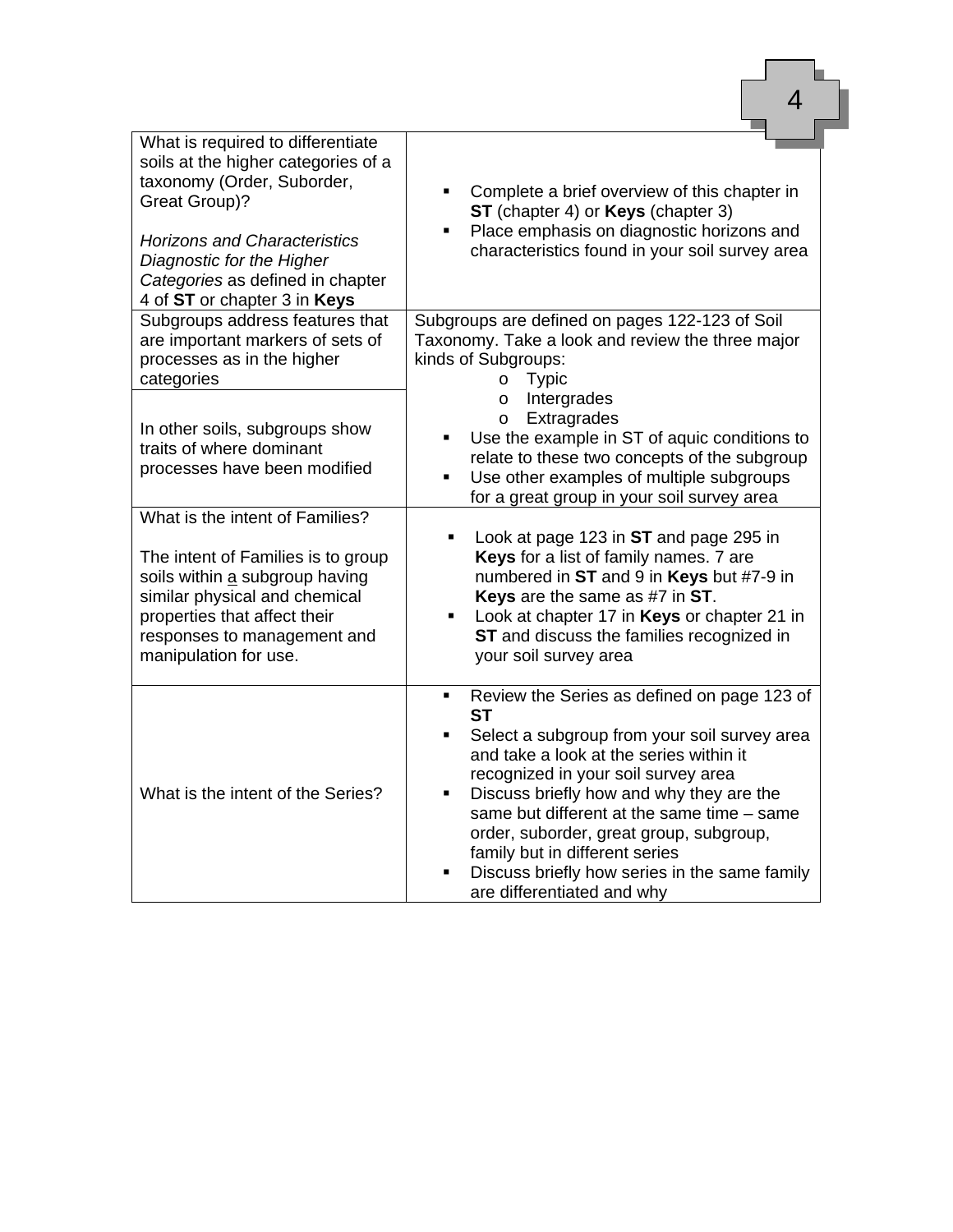| What is required to differentiate<br>soils at the higher categories of a<br>taxonomy (Order, Suborder,<br><b>Great Group)?</b><br><b>Horizons and Characteristics</b><br>Diagnostic for the Higher<br>Categories as defined in chapter<br>4 of ST or chapter 3 in Keys<br>Subgroups address features that<br>are important markers of sets of<br>processes as in the higher | Complete a brief overview of this chapter in<br>ST (chapter 4) or Keys (chapter 3)<br>Place emphasis on diagnostic horizons and<br>٠<br>characteristics found in your soil survey area<br>Subgroups are defined on pages 122-123 of Soil<br>Taxonomy. Take a look and review the three major<br>kinds of Subgroups:                                                                                                                                             |
|-----------------------------------------------------------------------------------------------------------------------------------------------------------------------------------------------------------------------------------------------------------------------------------------------------------------------------------------------------------------------------|-----------------------------------------------------------------------------------------------------------------------------------------------------------------------------------------------------------------------------------------------------------------------------------------------------------------------------------------------------------------------------------------------------------------------------------------------------------------|
| categories<br>In other soils, subgroups show<br>traits of where dominant<br>processes have been modified                                                                                                                                                                                                                                                                    | <b>Typic</b><br>O<br>Intergrades<br>$\circ$<br>Extragrades<br>$\circ$<br>Use the example in ST of aquic conditions to<br>٠<br>relate to these two concepts of the subgroup<br>Use other examples of multiple subgroups<br>$\blacksquare$<br>for a great group in your soil survey area                                                                                                                                                                          |
| What is the intent of Families?<br>The intent of Families is to group<br>soils within a subgroup having<br>similar physical and chemical<br>properties that affect their<br>responses to management and<br>manipulation for use.                                                                                                                                            | Look at page 123 in ST and page 295 in<br>٠<br>Keys for a list of family names. 7 are<br>numbered in ST and 9 in Keys but #7-9 in<br>Keys are the same as #7 in ST.<br>Look at chapter 17 in Keys or chapter 21 in<br>ST and discuss the families recognized in<br>your soil survey area                                                                                                                                                                        |
| What is the intent of the Series?                                                                                                                                                                                                                                                                                                                                           | Review the Series as defined on page 123 of<br>٠<br><b>ST</b><br>Select a subgroup from your soil survey area<br>and take a look at the series within it<br>recognized in your soil survey area<br>Discuss briefly how and why they are the<br>٠<br>same but different at the same time - same<br>order, suborder, great group, subgroup,<br>family but in different series<br>Discuss briefly how series in the same family<br>٠<br>are differentiated and why |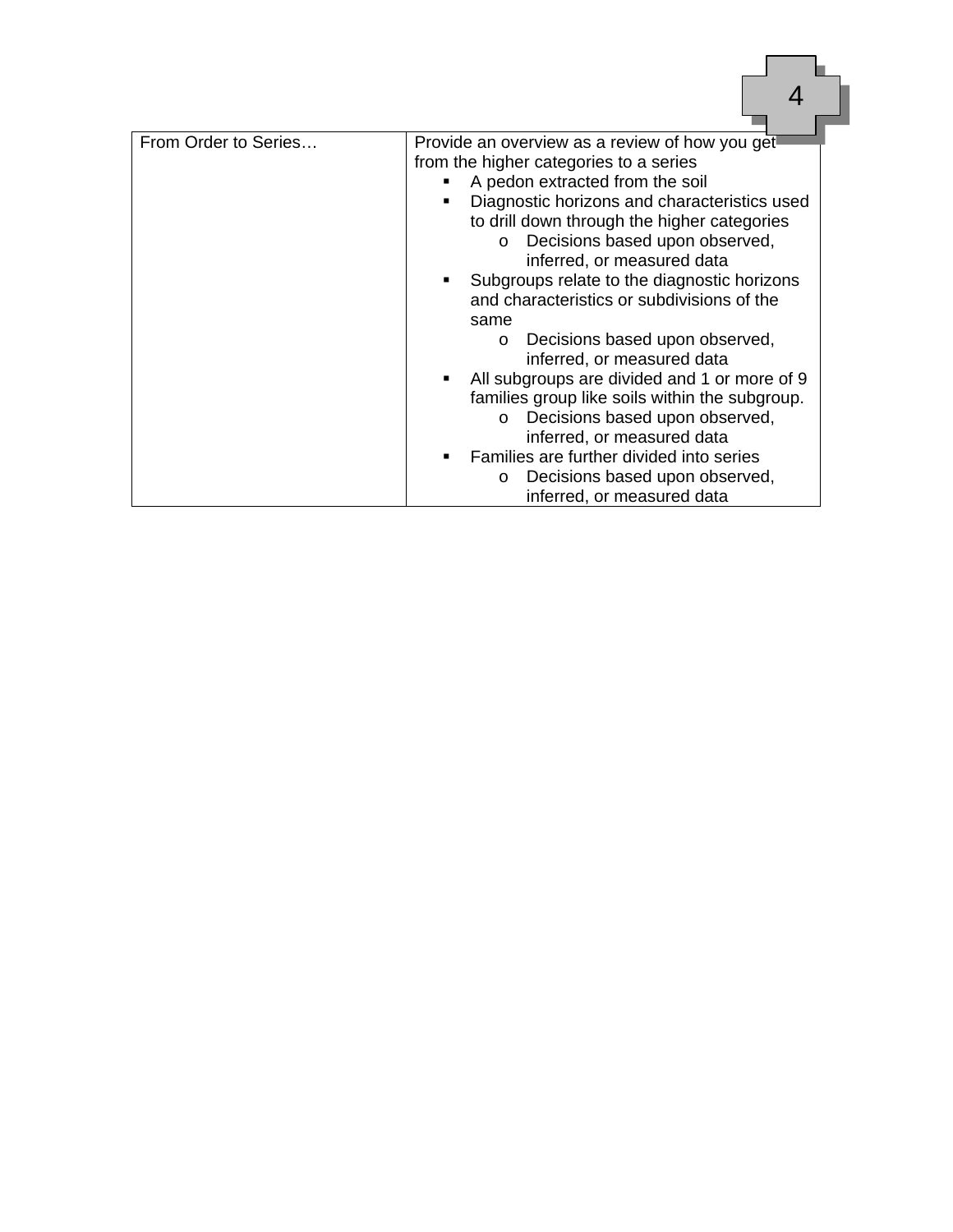| From Order to Series | Provide an overview as a review of how you get                            |
|----------------------|---------------------------------------------------------------------------|
|                      | from the higher categories to a series<br>A pedon extracted from the soil |
|                      | Diagnostic horizons and characteristics used                              |
|                      | to drill down through the higher categories                               |
|                      | Decisions based upon observed,<br>$\circ$                                 |
|                      | inferred, or measured data                                                |
|                      | Subgroups relate to the diagnostic horizons                               |
|                      | and characteristics or subdivisions of the                                |
|                      | same                                                                      |
|                      | Decisions based upon observed,<br>$\circ$                                 |
|                      | inferred, or measured data                                                |
|                      | All subgroups are divided and 1 or more of 9                              |
|                      | families group like soils within the subgroup.                            |
|                      | Decisions based upon observed,<br>O                                       |
|                      | inferred, or measured data                                                |
|                      | Families are further divided into series                                  |
|                      | Decisions based upon observed,<br>O<br>inferred, or measured data         |
|                      |                                                                           |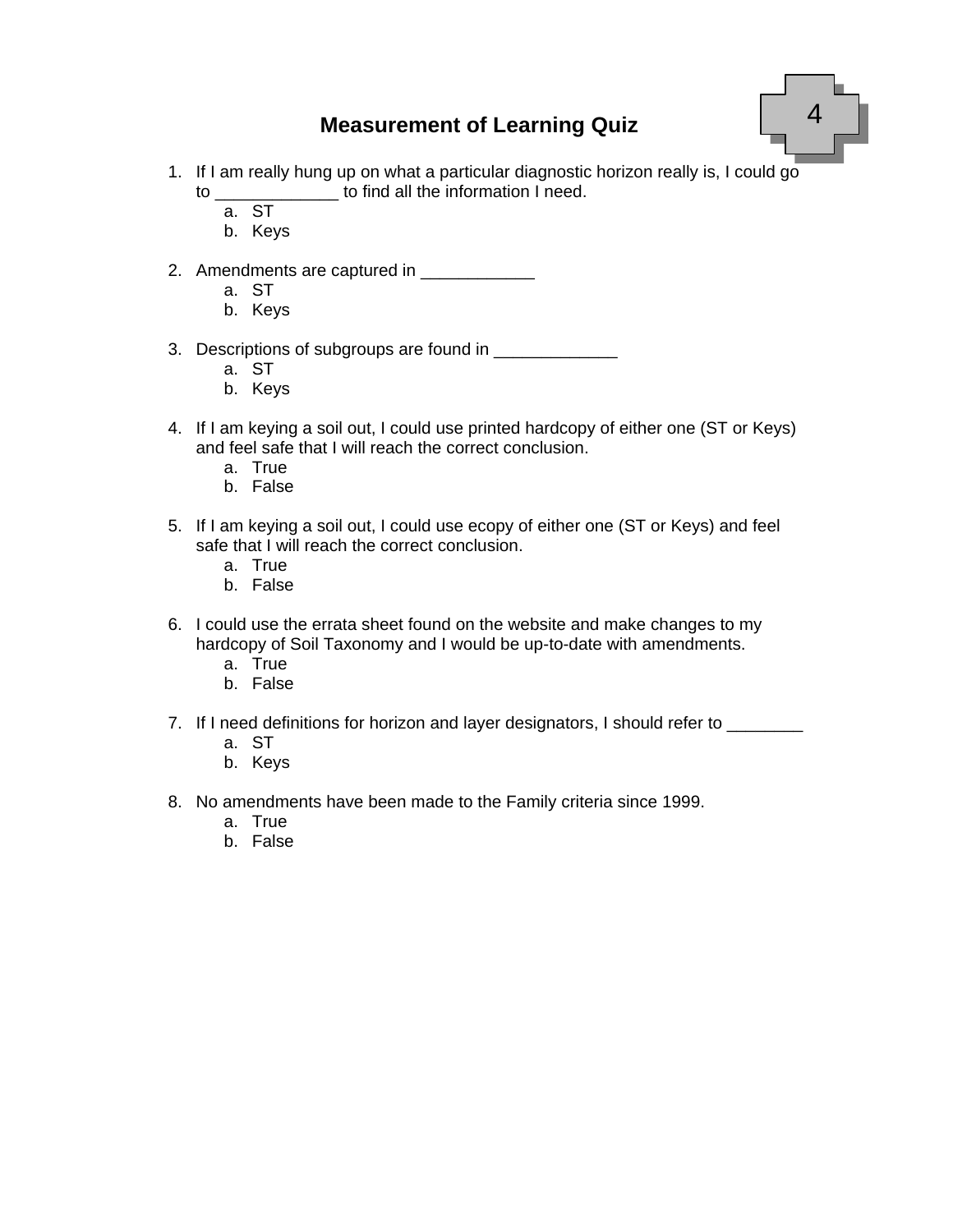#### **Measurement of Learning Quiz**



- 1. If I am really hung up on what a particular diagnostic horizon really is, I could go to \_\_\_\_\_\_\_\_\_\_\_\_\_ to find all the information I need.
	- a. ST
	- b. Keys
- 2. Amendments are captured in \_\_\_\_\_\_\_\_\_\_\_\_
	- a. ST
	- b. Keys
- 3. Descriptions of subgroups are found in \_\_\_\_\_\_\_\_\_\_\_\_\_
	- a. ST
	- b. Keys
- 4. If I am keying a soil out, I could use printed hardcopy of either one (ST or Keys) and feel safe that I will reach the correct conclusion.
	- a. True
	- b. False
- 5. If I am keying a soil out, I could use ecopy of either one (ST or Keys) and feel safe that I will reach the correct conclusion.
	- a. True
	- b. False
- 6. I could use the errata sheet found on the website and make changes to my hardcopy of Soil Taxonomy and I would be up-to-date with amendments.
	- a. True
	- b. False
- 7. If I need definitions for horizon and layer designators, I should refer to \_\_\_\_\_\_\_
	- a. ST
	- b. Keys
- 8. No amendments have been made to the Family criteria since 1999.
	- a. True
	- b. False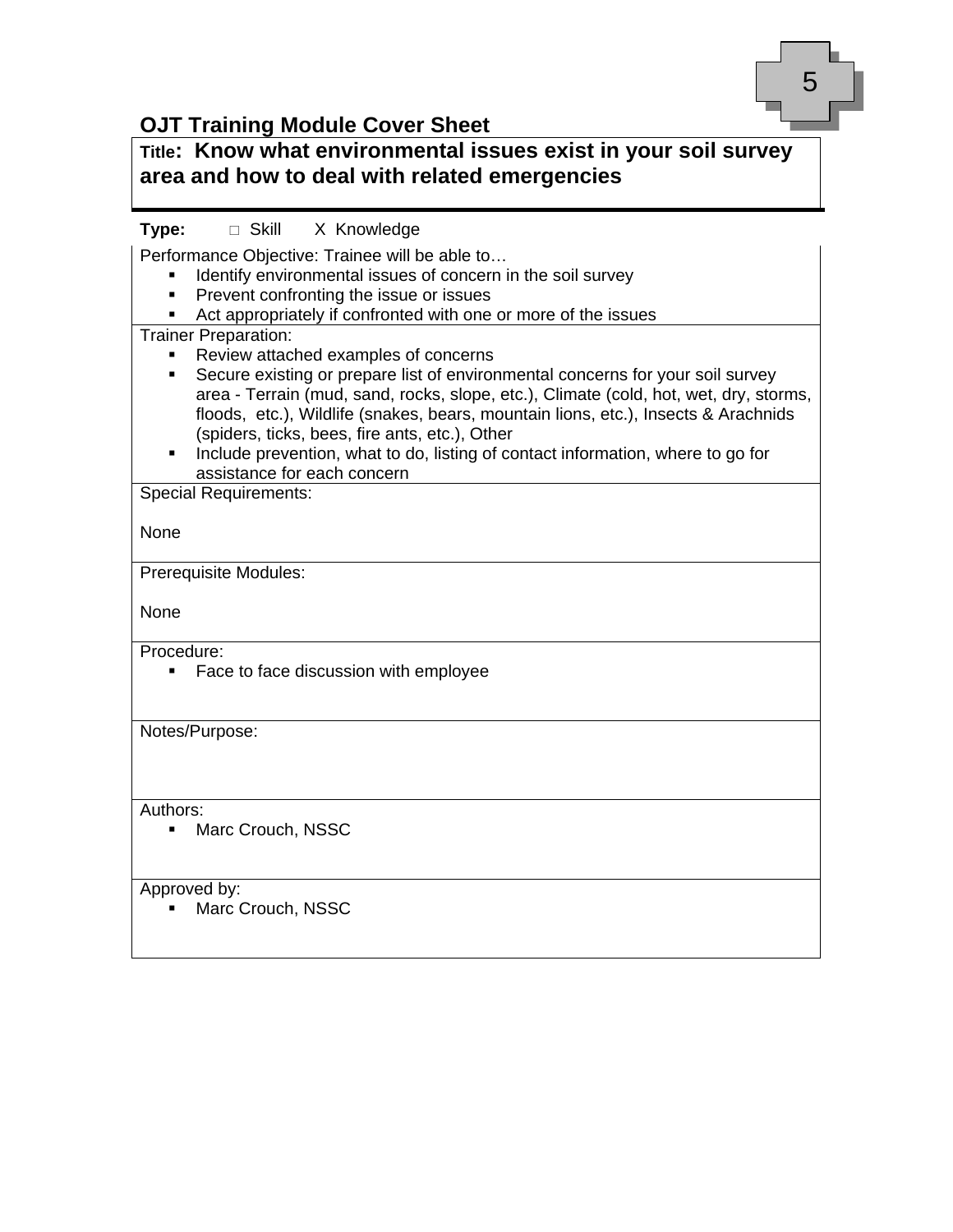

### **OJT Training Module Cover Sheet**

| Title: Know what environmental issues exist in your soil survey<br>area and how to deal with related emergencies                                                                                                                                                                                                                                                                                                                                                                                                                                                                                                                                                                                                                                                                                             |
|--------------------------------------------------------------------------------------------------------------------------------------------------------------------------------------------------------------------------------------------------------------------------------------------------------------------------------------------------------------------------------------------------------------------------------------------------------------------------------------------------------------------------------------------------------------------------------------------------------------------------------------------------------------------------------------------------------------------------------------------------------------------------------------------------------------|
| □ Skill X Knowledge<br>Type:<br>Performance Objective: Trainee will be able to<br>Identify environmental issues of concern in the soil survey<br>Prevent confronting the issue or issues<br>٠<br>Act appropriately if confronted with one or more of the issues<br>٠<br><b>Trainer Preparation:</b><br>Review attached examples of concerns<br>٠<br>Secure existing or prepare list of environmental concerns for your soil survey<br>٠<br>area - Terrain (mud, sand, rocks, slope, etc.), Climate (cold, hot, wet, dry, storms,<br>floods, etc.), Wildlife (snakes, bears, mountain lions, etc.), Insects & Arachnids<br>(spiders, ticks, bees, fire ants, etc.), Other<br>Include prevention, what to do, listing of contact information, where to go for<br>$\blacksquare$<br>assistance for each concern |
| <b>Special Requirements:</b><br>None                                                                                                                                                                                                                                                                                                                                                                                                                                                                                                                                                                                                                                                                                                                                                                         |
| Prerequisite Modules:<br>None                                                                                                                                                                                                                                                                                                                                                                                                                                                                                                                                                                                                                                                                                                                                                                                |
| Procedure:<br>Face to face discussion with employee<br>٠                                                                                                                                                                                                                                                                                                                                                                                                                                                                                                                                                                                                                                                                                                                                                     |
| Notes/Purpose:                                                                                                                                                                                                                                                                                                                                                                                                                                                                                                                                                                                                                                                                                                                                                                                               |
| Authors:<br>Marc Crouch, NSSC<br>٠                                                                                                                                                                                                                                                                                                                                                                                                                                                                                                                                                                                                                                                                                                                                                                           |
| Approved by:<br>Marc Crouch, NSSC                                                                                                                                                                                                                                                                                                                                                                                                                                                                                                                                                                                                                                                                                                                                                                            |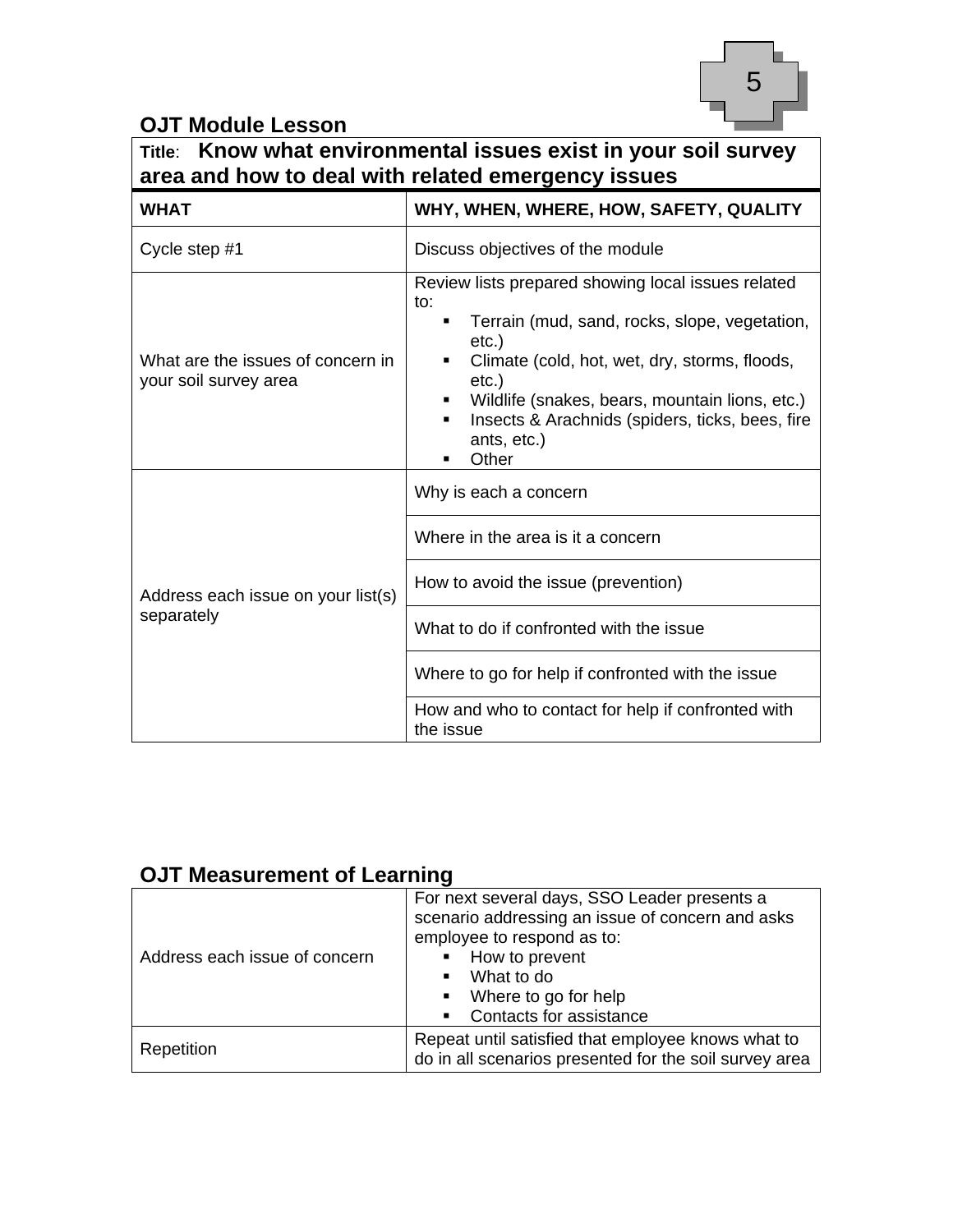

### **OJT Module Lesson**

| Title:                                                     | Know what environmental issues exist in your soil survey<br>area and how to deal with related emergency issues                                                                                                                                                                                                                  |  |
|------------------------------------------------------------|---------------------------------------------------------------------------------------------------------------------------------------------------------------------------------------------------------------------------------------------------------------------------------------------------------------------------------|--|
| <b>WHAT</b>                                                | WHY, WHEN, WHERE, HOW, SAFETY, QUALITY                                                                                                                                                                                                                                                                                          |  |
| Cycle step #1                                              | Discuss objectives of the module                                                                                                                                                                                                                                                                                                |  |
| What are the issues of concern in<br>your soil survey area | Review lists prepared showing local issues related<br>to:<br>Terrain (mud, sand, rocks, slope, vegetation,<br>٠<br>$etc.$ )<br>Climate (cold, hot, wet, dry, storms, floods,<br>$etc.$ )<br>Wildlife (snakes, bears, mountain lions, etc.)<br>п<br>Insects & Arachnids (spiders, ticks, bees, fire<br>٠<br>ants, etc.)<br>Other |  |
|                                                            | Why is each a concern                                                                                                                                                                                                                                                                                                           |  |
|                                                            | Where in the area is it a concern                                                                                                                                                                                                                                                                                               |  |
| Address each issue on your list(s)                         | How to avoid the issue (prevention)                                                                                                                                                                                                                                                                                             |  |
| separately                                                 | What to do if confronted with the issue                                                                                                                                                                                                                                                                                         |  |
|                                                            | Where to go for help if confronted with the issue                                                                                                                                                                                                                                                                               |  |
|                                                            | How and who to contact for help if confronted with<br>the issue                                                                                                                                                                                                                                                                 |  |

### **OJT Measurement of Learning**

| Address each issue of concern | For next several days, SSO Leader presents a<br>scenario addressing an issue of concern and asks<br>employee to respond as to:<br>How to prevent<br>What to do<br>Where to go for help<br>$\blacksquare$<br>Contacts for assistance |
|-------------------------------|-------------------------------------------------------------------------------------------------------------------------------------------------------------------------------------------------------------------------------------|
|                               | Repeat until satisfied that employee knows what to                                                                                                                                                                                  |
| Repetition                    | do in all scenarios presented for the soil survey area                                                                                                                                                                              |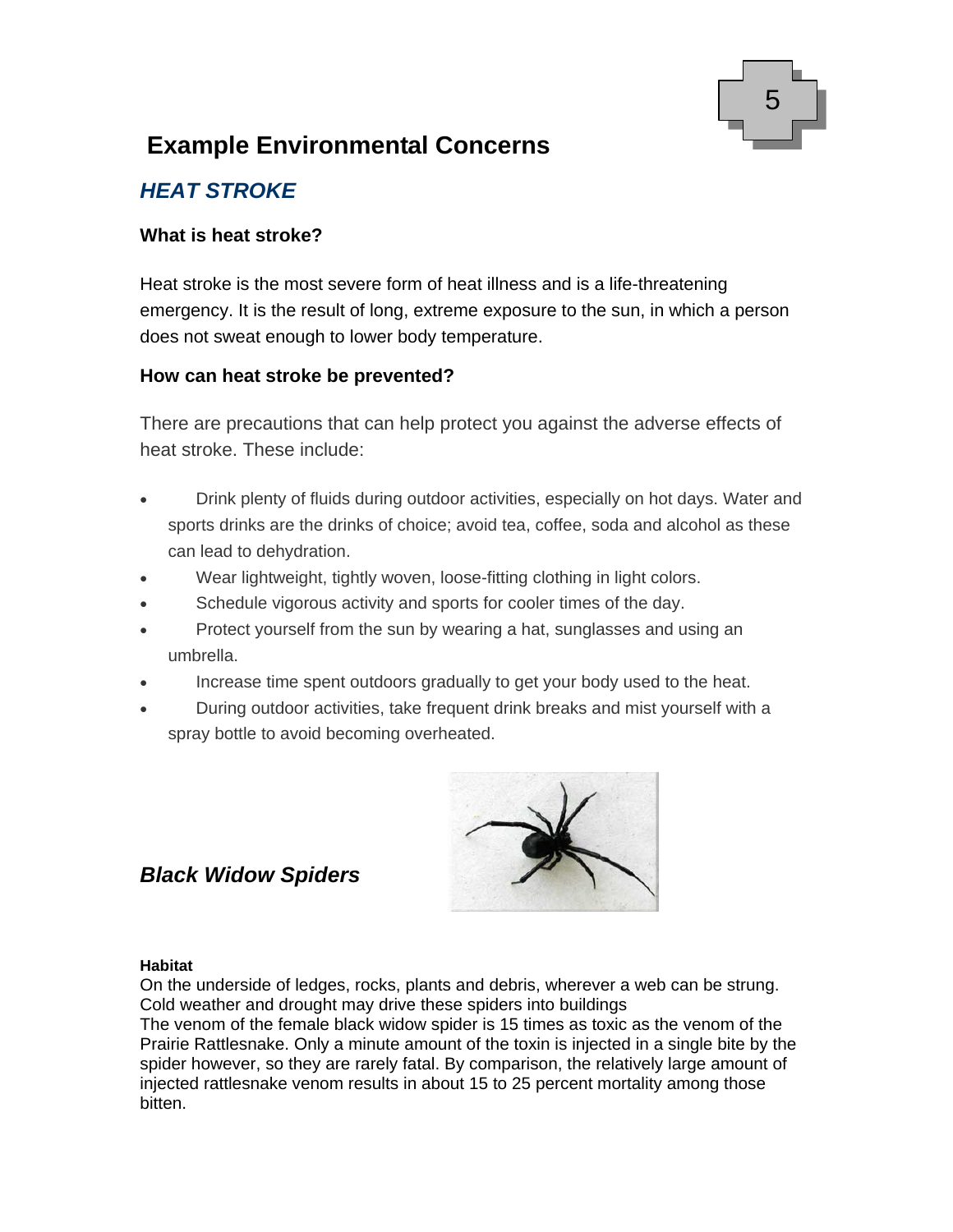

### **Example Environmental Concerns**

### *HEAT STROKE*

#### **What is heat stroke?**

Heat stroke is the most severe form of heat illness and is a life-threatening emergency. It is the result of long, extreme exposure to the sun, in which a person does not sweat enough to lower body temperature.

#### **How can heat stroke be prevented?**

There are precautions that can help protect you against the adverse effects of heat stroke. These include:

- Drink plenty of fluids during outdoor activities, especially on hot days. Water and sports drinks are the drinks of choice; avoid tea, coffee, soda and alcohol as these can lead to dehydration.
- Wear lightweight, tightly woven, loose-fitting clothing in light colors.
- Schedule vigorous activity and sports for cooler times of the day.
- Protect yourself from the sun by wearing a hat, sunglasses and using an umbrella.
- Increase time spent outdoors gradually to get your body used to the heat.
- During outdoor activities, take frequent drink breaks and mist yourself with a spray bottle to avoid becoming overheated.



#### *Black Widow Spiders*

#### **Habitat**

On the underside of ledges, rocks, plants and debris, wherever a web can be strung. Cold weather and drought may drive these spiders into buildings The venom of the female black widow spider is 15 times as toxic as the venom of the Prairie Rattlesnake. Only a minute amount of the toxin is injected in a single bite by the spider however, so they are rarely fatal. By comparison, the relatively large amount of injected rattlesnake venom results in about 15 to 25 percent mortality among those bitten.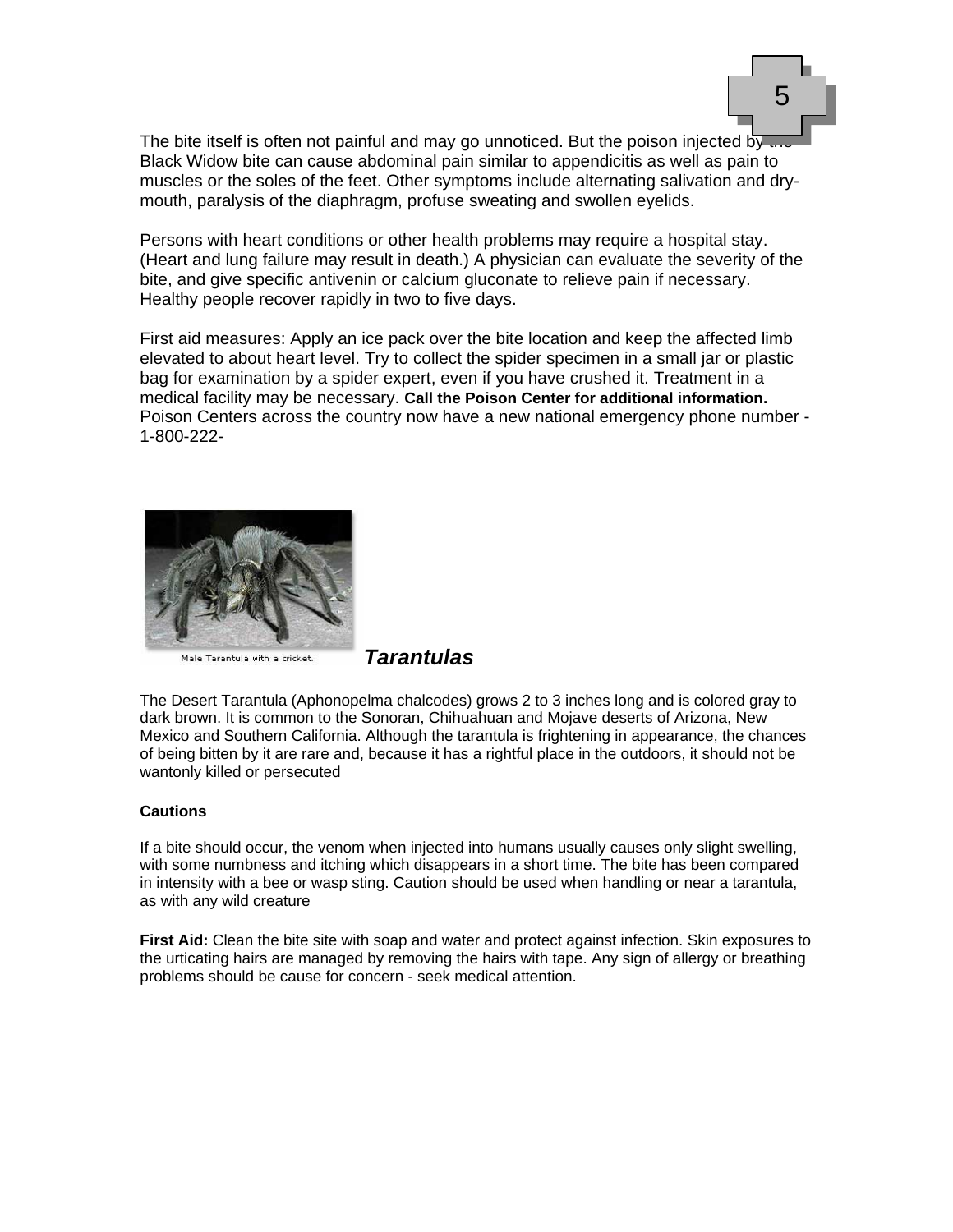

The bite itself is often not painful and may go unnoticed. But the poison injected by  $\ldots$ Black Widow bite can cause abdominal pain similar to appendicitis as well as pain to muscles or the soles of the feet. Other symptoms include alternating salivation and drymouth, paralysis of the diaphragm, profuse sweating and swollen eyelids.

Persons with heart conditions or other health problems may require a hospital stay. (Heart and lung failure may result in death.) A physician can evaluate the severity of the bite, and give specific antivenin or calcium gluconate to relieve pain if necessary. Healthy people recover rapidly in two to five days.

First aid measures: Apply an ice pack over the bite location and keep the affected limb elevated to about heart level. Try to collect the spider specimen in a small jar or plastic bag for examination by a spider expert, even if you have crushed it. Treatment in a medical facility may be necessary. **Call the Poison Center for additional information.**  Poison Centers across the country now have a new national emergency phone number - 1-800-222-



Male Tarantula with a cricket.

*Tarantulas*

The Desert Tarantula (Aphonopelma chalcodes) grows 2 to 3 inches long and is colored gray to dark brown. It is common to the Sonoran, Chihuahuan and Mojave deserts of Arizona, New Mexico and Southern California. Although the tarantula is frightening in appearance, the chances of being bitten by it are rare and, because it has a rightful place in the outdoors, it should not be wantonly killed or persecuted

#### **Cautions**

If a bite should occur, the venom when injected into humans usually causes only slight swelling, with some numbness and itching which disappears in a short time. The bite has been compared in intensity with a bee or wasp sting. Caution should be used when handling or near a tarantula, as with any wild creature

**First Aid:** Clean the bite site with soap and water and protect against infection. Skin exposures to the urticating hairs are managed by removing the hairs with tape. Any sign of allergy or breathing problems should be cause for concern - seek medical attention.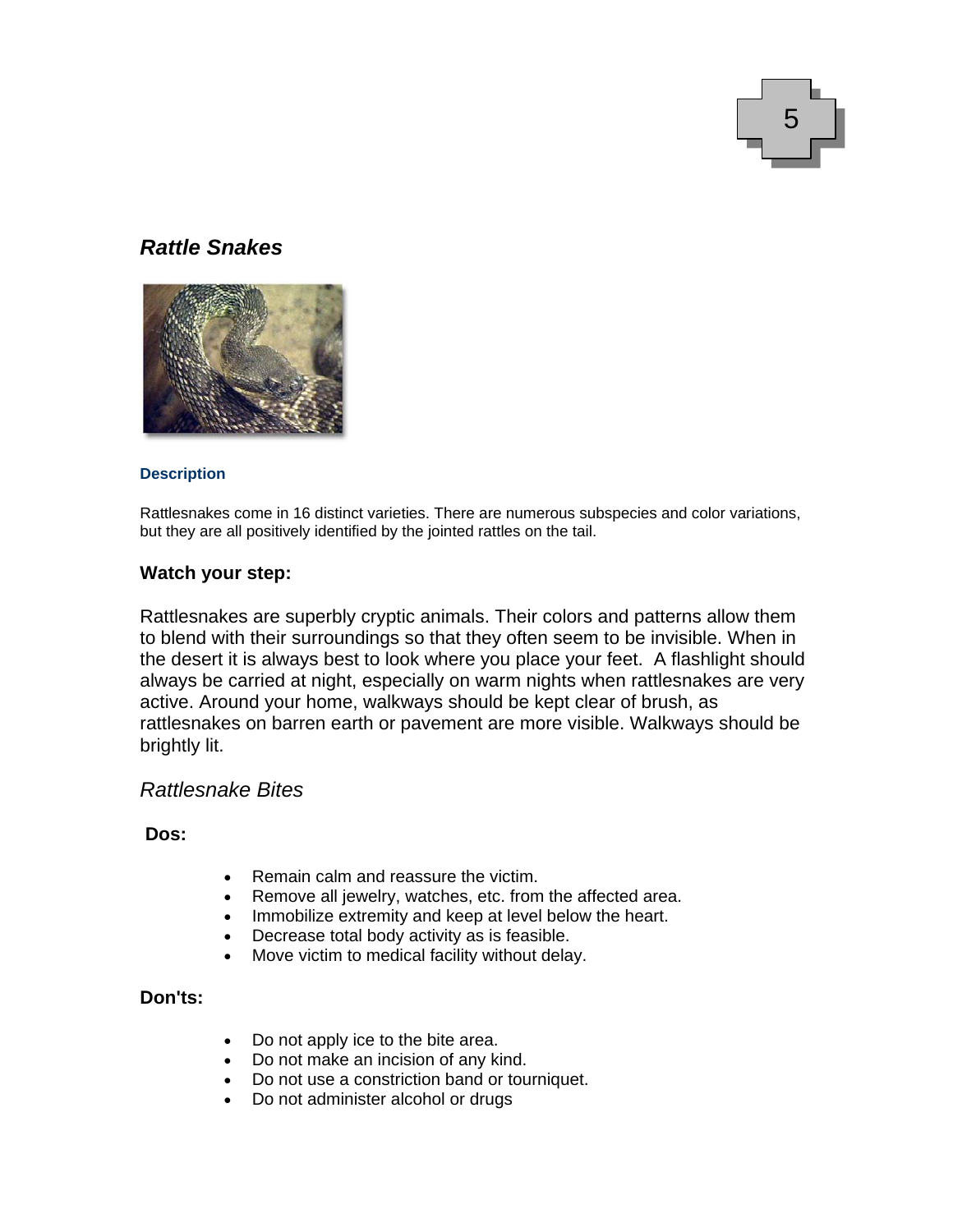

#### *Rattle Snakes*



#### **Description**

Rattlesnakes come in 16 distinct varieties. There are numerous subspecies and color variations, but they are all positively identified by the jointed rattles on the tail.

#### **Watch your step:**

Rattlesnakes are superbly cryptic animals. Their colors and patterns allow them to blend with their surroundings so that they often seem to be invisible. When in the desert it is always best to look where you place your feet. A flashlight should always be carried at night, especially on warm nights when rattlesnakes are very active. Around your home, walkways should be kept clear of brush, as rattlesnakes on barren earth or pavement are more visible. Walkways should be brightly lit.

#### *Rattlesnake Bites*

#### **Dos:**

- Remain calm and reassure the victim.
- Remove all jewelry, watches, etc. from the affected area.
- Immobilize extremity and keep at level below the heart.
- Decrease total body activity as is feasible.
- Move victim to medical facility without delay.

#### **Don'ts:**

- Do not apply ice to the bite area.
- Do not make an incision of any kind.
- Do not use a constriction band or tourniquet.
- Do not administer alcohol or drugs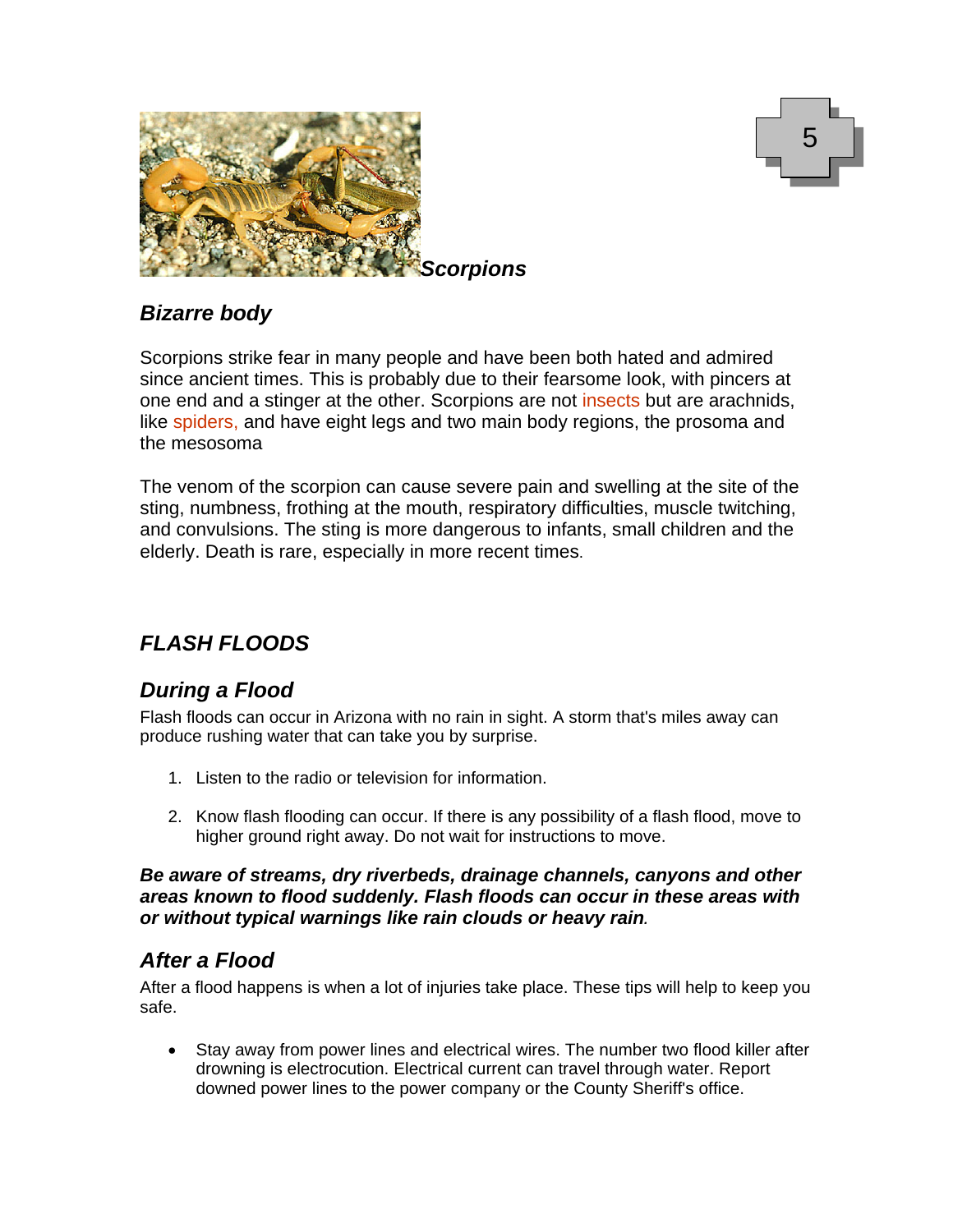



#### *Bizarre body*

Scorpions strike fear in many people and have been both hated and admired since ancient times. This is probably due to their fearsome look, with pincers at one end and a stinger at the other. Scorpions are not insects but are arachnids, like spiders, and have eight legs and two main body regions, the prosoma and the mesosoma

The venom of the scorpion can cause severe pain and swelling at the site of the sting, numbness, frothing at the mouth, respiratory difficulties, muscle twitching, and convulsions. The sting is more dangerous to infants, small children and the elderly. Death is rare, especially in more recent times.

### *FLASH FLOODS*

### *During a Flood*

Flash floods can occur in Arizona with no rain in sight. A storm that's miles away can produce rushing water that can take you by surprise.

- 1. Listen to the radio or television for information.
- 2. Know flash flooding can occur. If there is any possibility of a flash flood, move to higher ground right away. Do not wait for instructions to move.

*Be aware of streams, dry riverbeds, drainage channels, canyons and other areas known to flood suddenly. Flash floods can occur in these areas with or without typical warnings like rain clouds or heavy rain.* 

#### *After a Flood*

After a flood happens is when a lot of injuries take place. These tips will help to keep you safe.

• Stay away from power lines and electrical wires. The number two flood killer after drowning is electrocution. Electrical current can travel through water. Report downed power lines to the power company or the County Sheriff's office.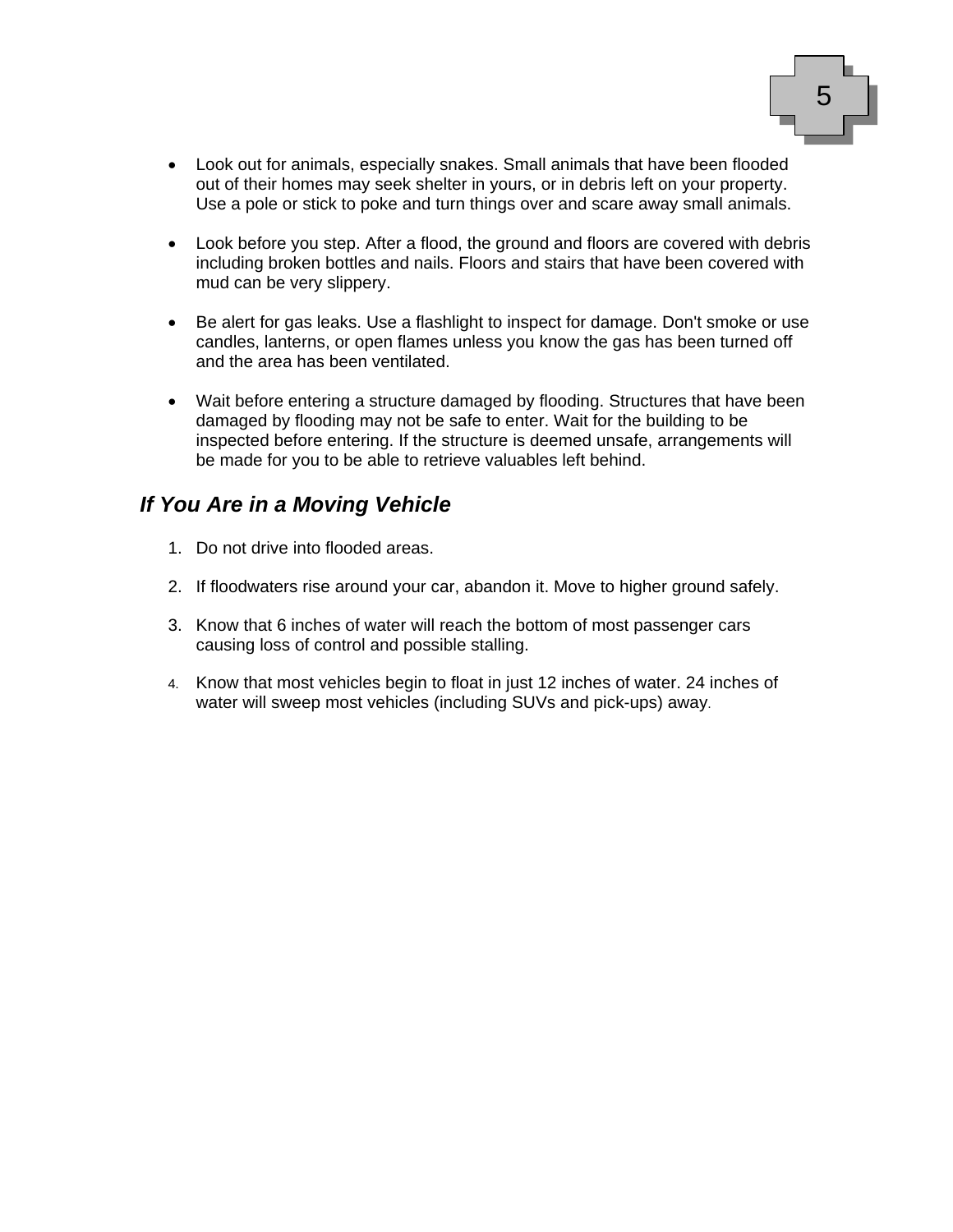

- Look out for animals, especially snakes. Small animals that have been flooded out of their homes may seek shelter in yours, or in debris left on your property. Use a pole or stick to poke and turn things over and scare away small animals.
- Look before you step. After a flood, the ground and floors are covered with debris including broken bottles and nails. Floors and stairs that have been covered with mud can be very slippery.
- Be alert for gas leaks. Use a flashlight to inspect for damage. Don't smoke or use candles, lanterns, or open flames unless you know the gas has been turned off and the area has been ventilated.
- Wait before entering a structure damaged by flooding. Structures that have been damaged by flooding may not be safe to enter. Wait for the building to be inspected before entering. If the structure is deemed unsafe, arrangements will be made for you to be able to retrieve valuables left behind.

#### *If You Are in a Moving Vehicle*

- 1. Do not drive into flooded areas.
- 2. If floodwaters rise around your car, abandon it. Move to higher ground safely.
- 3. Know that 6 inches of water will reach the bottom of most passenger cars causing loss of control and possible stalling.
- 4. Know that most vehicles begin to float in just 12 inches of water. 24 inches of water will sweep most vehicles (including SUVs and pick-ups) away.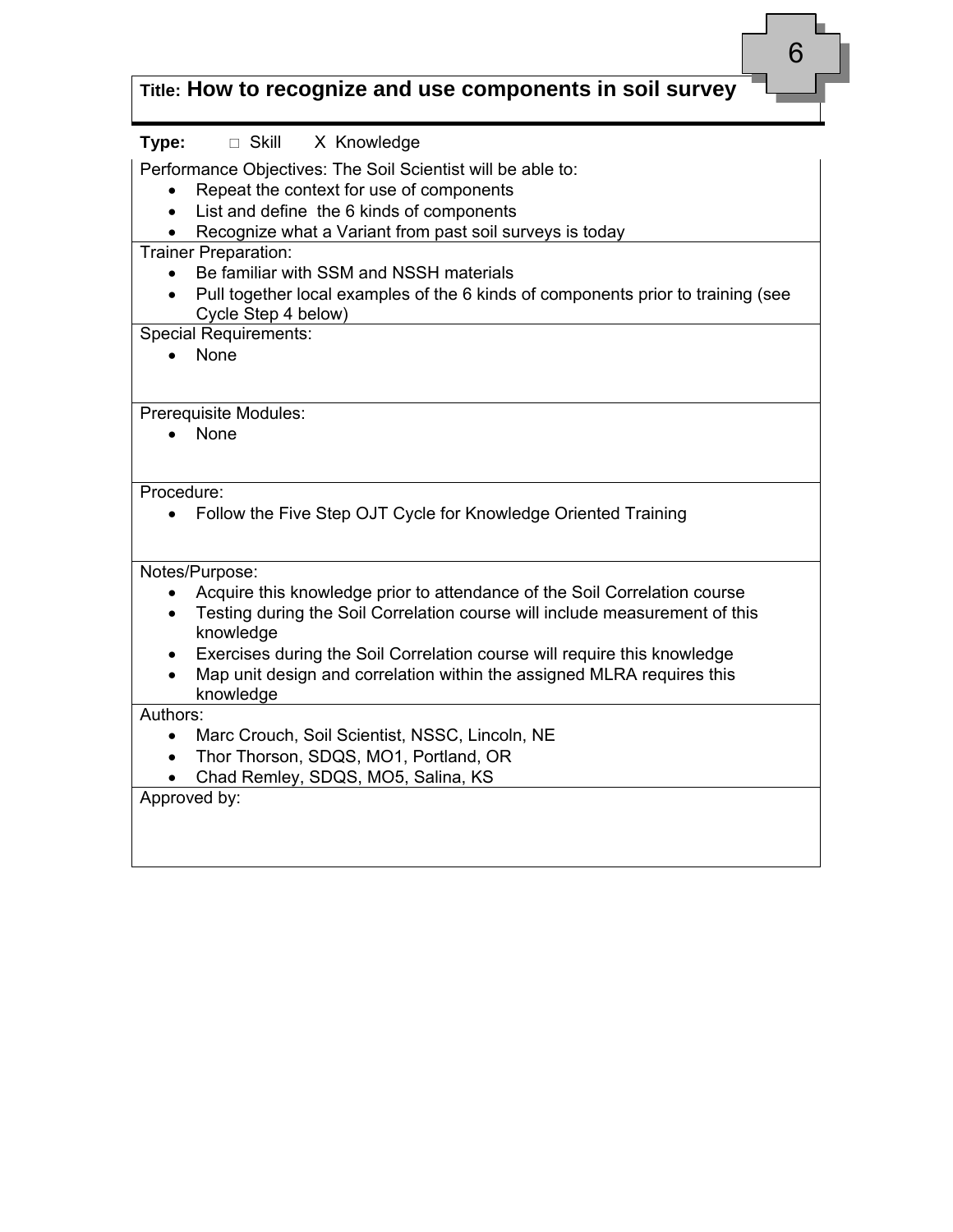| 6<br>Title: How to recognize and use components in soil survey                                                                                                                                                                                                                                                                                                          |
|-------------------------------------------------------------------------------------------------------------------------------------------------------------------------------------------------------------------------------------------------------------------------------------------------------------------------------------------------------------------------|
| Type:<br>□ Skill X Knowledge                                                                                                                                                                                                                                                                                                                                            |
| Performance Objectives: The Soil Scientist will be able to:<br>Repeat the context for use of components<br>List and define the 6 kinds of components<br>$\bullet$                                                                                                                                                                                                       |
| Recognize what a Variant from past soil surveys is today<br><b>Trainer Preparation:</b><br>Be familiar with SSM and NSSH materials<br>Pull together local examples of the 6 kinds of components prior to training (see<br>Cycle Step 4 below)                                                                                                                           |
| <b>Special Requirements:</b><br><b>None</b>                                                                                                                                                                                                                                                                                                                             |
| Prerequisite Modules:<br>None                                                                                                                                                                                                                                                                                                                                           |
| Procedure:<br>Follow the Five Step OJT Cycle for Knowledge Oriented Training                                                                                                                                                                                                                                                                                            |
| Notes/Purpose:<br>Acquire this knowledge prior to attendance of the Soil Correlation course<br>Testing during the Soil Correlation course will include measurement of this<br>$\bullet$<br>knowledge<br>Exercises during the Soil Correlation course will require this knowledge<br>Map unit design and correlation within the assigned MLRA requires this<br>knowledge |
| Authors:<br>Marc Crouch, Soil Scientist, NSSC, Lincoln, NE<br>Thor Thorson, SDQS, MO1, Portland, OR<br>Chad Remley, SDQS, MO5, Salina, KS<br>Approved by:                                                                                                                                                                                                               |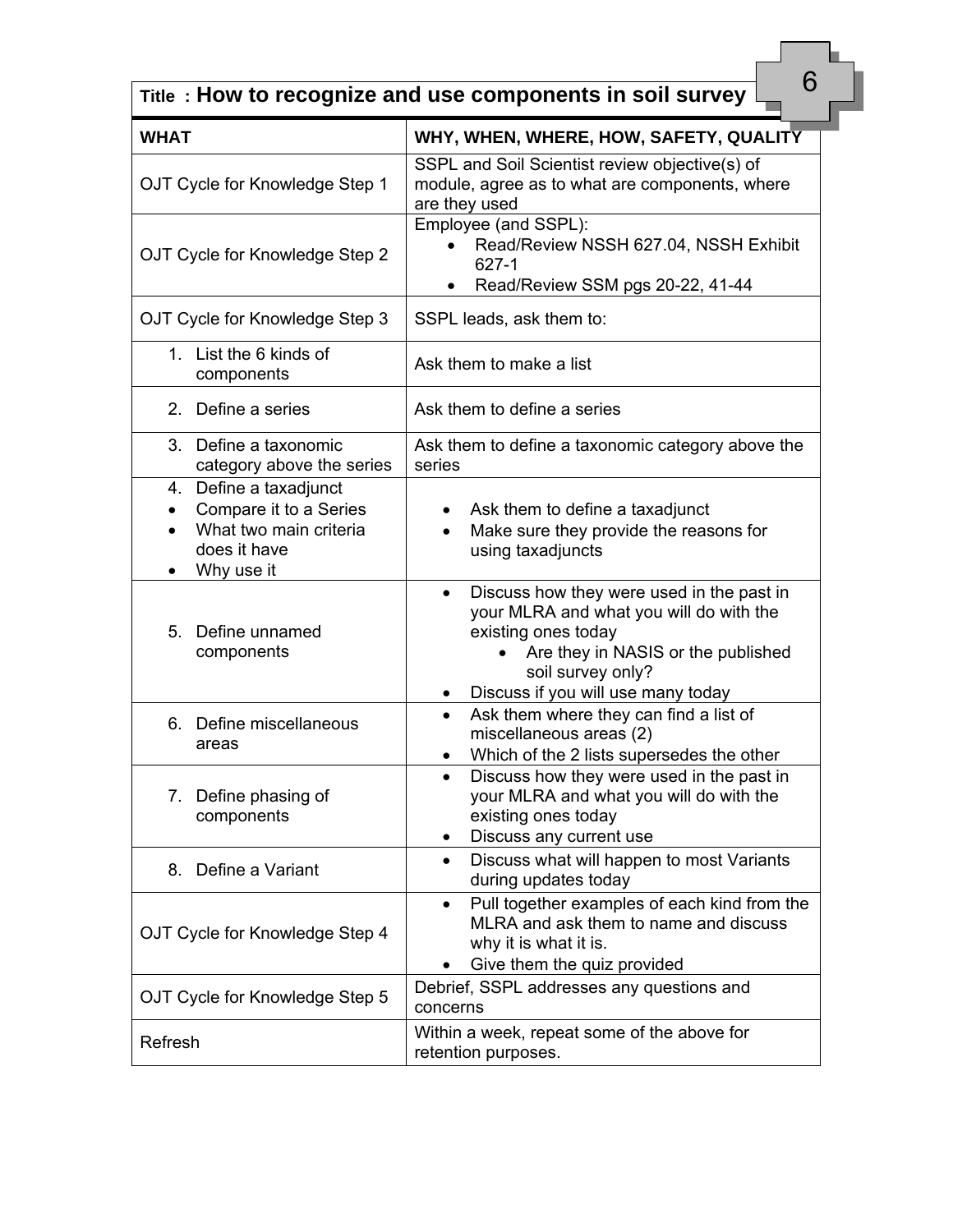| 6<br>Title: How to recognize and use components in soil survey                                                |                                                                                                                                                                                                                           |  |
|---------------------------------------------------------------------------------------------------------------|---------------------------------------------------------------------------------------------------------------------------------------------------------------------------------------------------------------------------|--|
| <b>WHAT</b>                                                                                                   | WHY, WHEN, WHERE, HOW, SAFETY, QUALITY                                                                                                                                                                                    |  |
| OJT Cycle for Knowledge Step 1                                                                                | SSPL and Soil Scientist review objective(s) of<br>module, agree as to what are components, where<br>are they used                                                                                                         |  |
| OJT Cycle for Knowledge Step 2                                                                                | Employee (and SSPL):<br>Read/Review NSSH 627.04, NSSH Exhibit<br>627-1<br>Read/Review SSM pgs 20-22, 41-44                                                                                                                |  |
| OJT Cycle for Knowledge Step 3                                                                                | SSPL leads, ask them to:                                                                                                                                                                                                  |  |
| 1. List the 6 kinds of<br>components                                                                          | Ask them to make a list                                                                                                                                                                                                   |  |
| Define a series<br>2.                                                                                         | Ask them to define a series                                                                                                                                                                                               |  |
| 3.<br>Define a taxonomic<br>category above the series                                                         | Ask them to define a taxonomic category above the<br>series                                                                                                                                                               |  |
| 4. Define a taxadjunct<br>Compare it to a Series<br>What two main criteria<br>does it have<br>Why use it<br>٠ | Ask them to define a taxadjunct<br>Make sure they provide the reasons for<br>$\bullet$<br>using taxadjuncts                                                                                                               |  |
| Define unnamed<br>5.<br>components                                                                            | Discuss how they were used in the past in<br>$\bullet$<br>your MLRA and what you will do with the<br>existing ones today<br>Are they in NASIS or the published<br>soil survey only?<br>Discuss if you will use many today |  |
| 6. Define miscellaneous<br>areas                                                                              | Ask them where they can find a list of<br>miscellaneous areas (2)<br>Which of the 2 lists supersedes the other<br>$\bullet$                                                                                               |  |
| 7. Define phasing of<br>components                                                                            | Discuss how they were used in the past in<br>$\bullet$<br>your MLRA and what you will do with the<br>existing ones today<br>Discuss any current use                                                                       |  |
| Define a Variant<br>8.                                                                                        | Discuss what will happen to most Variants<br>$\bullet$<br>during updates today                                                                                                                                            |  |
| OJT Cycle for Knowledge Step 4                                                                                | Pull together examples of each kind from the<br>$\bullet$<br>MLRA and ask them to name and discuss<br>why it is what it is.<br>Give them the quiz provided                                                                |  |
| OJT Cycle for Knowledge Step 5                                                                                | Debrief, SSPL addresses any questions and<br>concerns                                                                                                                                                                     |  |
| Refresh                                                                                                       | Within a week, repeat some of the above for<br>retention purposes.                                                                                                                                                        |  |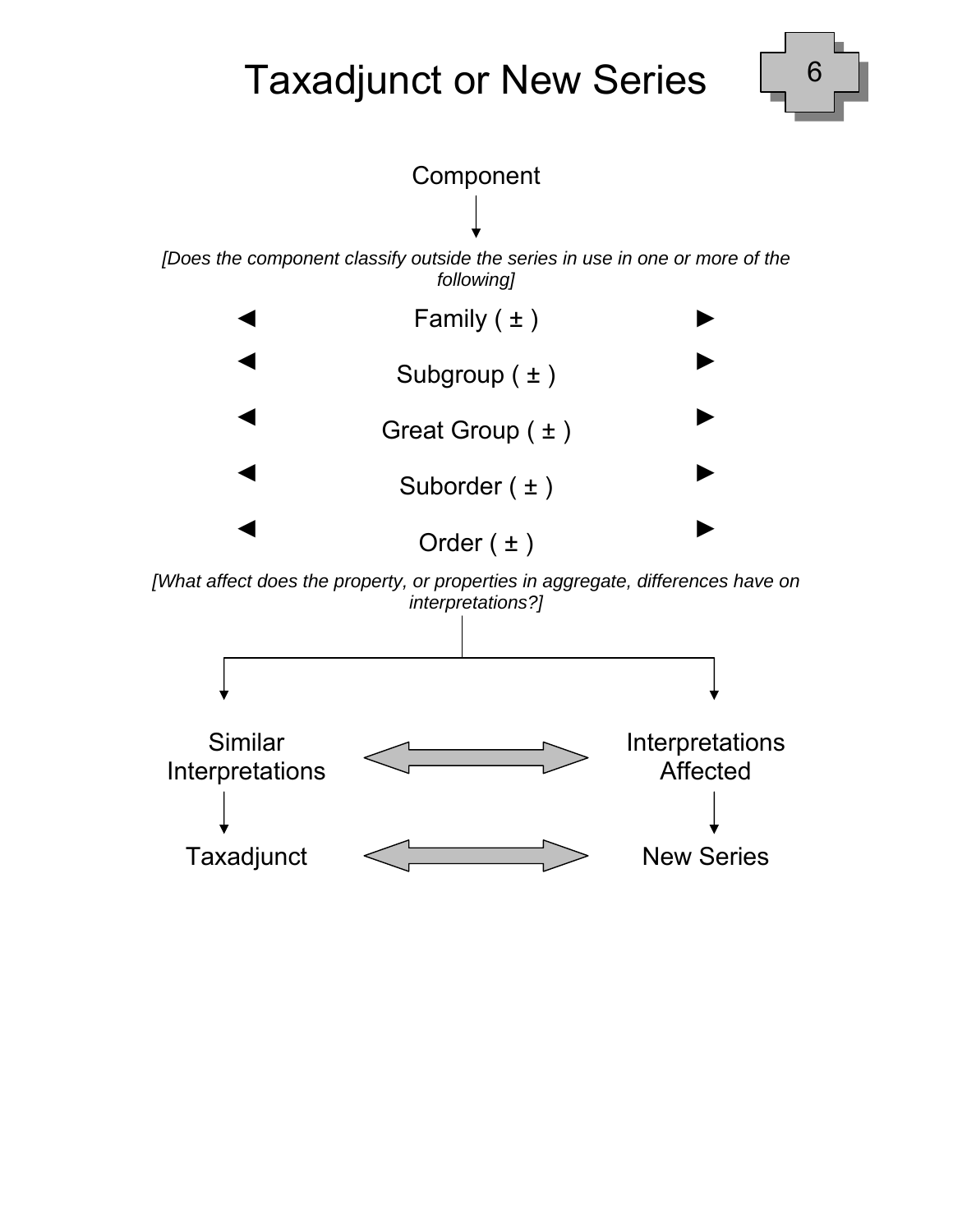# Taxadjunct or New Series